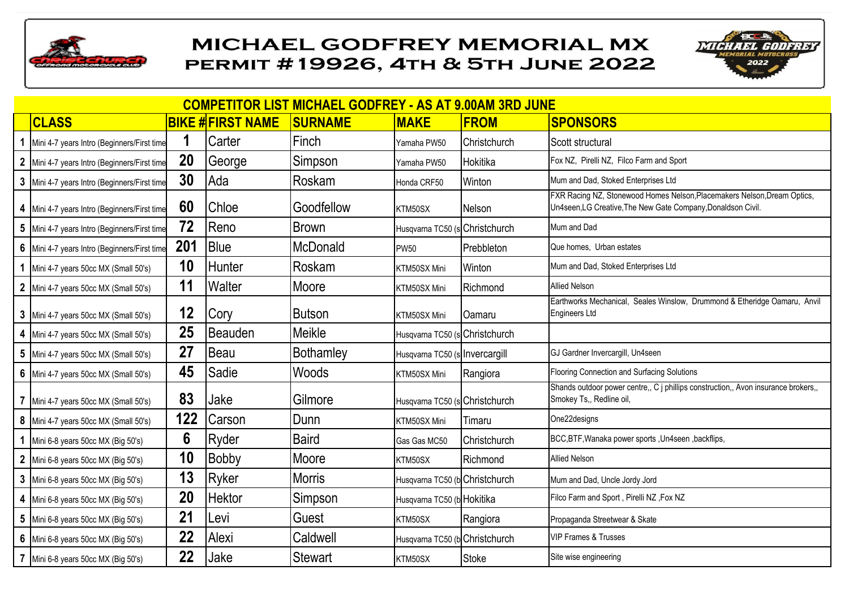



| <b>COMPETITOR LIST MICHAEL GODFREY - AS AT 9.00AM 3RD JUNE</b> |     |                         |                  |                                |                     |                                                                                                                                          |  |  |  |  |  |
|----------------------------------------------------------------|-----|-------------------------|------------------|--------------------------------|---------------------|------------------------------------------------------------------------------------------------------------------------------------------|--|--|--|--|--|
| <b>CLASS</b>                                                   |     | <b>BIKE #FIRST NAME</b> | <b>SURNAME</b>   | <b>MAKE</b>                    | <b>FROM</b>         | <b>SPONSORS</b>                                                                                                                          |  |  |  |  |  |
| 1 Mini 4-7 years Intro (Beginners/First time                   |     | Carter                  | Finch            | Yamaha PW50                    | Christchurch        | Scott structural                                                                                                                         |  |  |  |  |  |
| 2 Mini 4-7 years Intro (Beginners/First time                   | 20  | George                  | Simpson          | Yamaha PW50                    | Hokitika            | Fox NZ, Pirelli NZ, Filco Farm and Sport                                                                                                 |  |  |  |  |  |
| 3 Mini 4-7 years Intro (Beginners/First time                   | 30  | Ada                     | Roskam           | Honda CRF50                    | Winton              | Mum and Dad, Stoked Enterprises Ltd                                                                                                      |  |  |  |  |  |
| 4 Mini 4-7 years Intro (Beginners/First time                   | 60  | Chloe                   | Goodfellow       | KTM50SX                        | Nelson              | FXR Racing NZ, Stonewood Homes Nelson, Placemakers Nelson, Dream Optics,<br>Un4seen, LG Creative, The New Gate Company, Donaldson Civil. |  |  |  |  |  |
| 5 Mini 4-7 years Intro (Beginners/First time                   | 72  | Reno                    | <b>Brown</b>     | Husqvarna TC50 (s Christchurch |                     | Mum and Dad                                                                                                                              |  |  |  |  |  |
| 6 Mini 4-7 years Intro (Beginners/First time                   | 201 | <b>Blue</b>             | <b>McDonald</b>  | <b>PW50</b>                    | <b>I</b> Prebbleton | Que homes, Urban estates                                                                                                                 |  |  |  |  |  |
| 1 Mini 4-7 years 50cc MX (Small 50's)                          | 10  | <b>Hunter</b>           | Roskam           | KTM50SX Mini                   | Winton              | Mum and Dad, Stoked Enterprises Ltd                                                                                                      |  |  |  |  |  |
| 2 Mini 4-7 years 50cc MX (Small 50's)                          | 11  | Walter                  | Moore            | KTM50SX Mini                   | Richmond            | <b>Allied Nelson</b>                                                                                                                     |  |  |  |  |  |
| 3 Mini 4-7 years 50cc MX (Small 50's)                          | 12  | Cory                    | Butson           | KTM50SX Mini                   | Oamaru              | Earthworks Mechanical, Seales Winslow, Drummond & Etheridge Oamaru, Anvil<br>Engineers Ltd                                               |  |  |  |  |  |
| 4 Mini 4-7 years 50cc MX (Small 50's)                          | 25  | <b>Beauden</b>          | Meikle           | Husqvarna TC50 (s Christchurch |                     |                                                                                                                                          |  |  |  |  |  |
| 5 Mini 4-7 years 50cc MX (Small 50's)                          | 27  | Beau                    | <b>Bothamley</b> | Husqvarna TC50 (s Invercargill |                     | GJ Gardner Invercargill, Un4seen                                                                                                         |  |  |  |  |  |
| 6 Mini 4-7 years 50cc MX (Small 50's)                          | 45  | Sadie                   | Woods            | KTM50SX Mini                   | Rangiora            | Flooring Connection and Surfacing Solutions                                                                                              |  |  |  |  |  |
| 7 Mini 4-7 years 50cc MX (Small 50's)                          | 83  | Jake                    | Gilmore          | Husqvarna TC50 (s Christchurch |                     | Shands outdoor power centre,, C j phillips construction,, Avon insurance brokers,,<br>Smokey Ts,, Redline oil,                           |  |  |  |  |  |
| 8 Mini 4-7 years 50cc MX (Small 50's)                          | 122 | Carson                  | Dunn             | KTM50SX Mini                   | Timaru              | One22designs                                                                                                                             |  |  |  |  |  |
| 1 Mini 6-8 years 50cc MX (Big 50's)                            | 6   | Ryder                   | <b>Baird</b>     | Gas Gas MC50                   | Christchurch        | BCC,BTF, Wanaka power sports, Un4seen, backflips,                                                                                        |  |  |  |  |  |
| 2 Mini 6-8 years 50cc MX (Big 50's)                            | 10  | <b>Bobby</b>            | Moore            | KTM50SX                        | Richmond            | <b>Allied Nelson</b>                                                                                                                     |  |  |  |  |  |
| 3 Mini 6-8 years 50cc MX (Big 50's)                            | 13  | Ryker                   | <b>Morris</b>    | Husqvarna TC50 (b Christchurch |                     | Mum and Dad, Uncle Jordy Jord                                                                                                            |  |  |  |  |  |
| 4 Mini 6-8 years 50cc MX (Big 50's)                            | 20  | <b>Hektor</b>           | Simpson          | Husqvarna TC50 (b Hokitika     |                     | Filco Farm and Sport, Pirelli NZ, Fox NZ                                                                                                 |  |  |  |  |  |
| 5 Mini 6-8 years 50cc MX (Big 50's)                            | 21  | Levi                    | Guest            | KTM50SX                        | Rangiora            | Propaganda Streetwear & Skate                                                                                                            |  |  |  |  |  |
| 6 Mini 6-8 years 50cc MX (Big 50's)                            | 22  | Alexi                   | Caldwell         | Husqvarna TC50 (b Christchurch |                     | <b>VIP Frames &amp; Trusses</b>                                                                                                          |  |  |  |  |  |
| 7 Mini 6-8 years 50cc MX (Big 50's)                            | 22  | Jake                    | Stewart          | KTM50SX                        | <b>Stoke</b>        | Site wise engineering                                                                                                                    |  |  |  |  |  |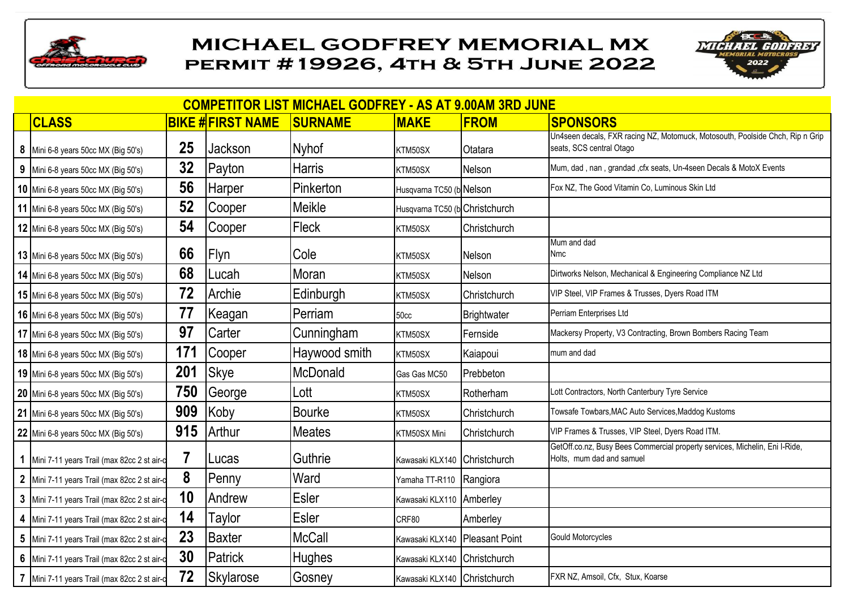



| <b>COMPETITOR LIST MICHAEL GODFREY - AS AT 9.00AM 3RD JUNE</b> |     |                         |                |                                |              |                                                                                                           |  |  |  |  |  |
|----------------------------------------------------------------|-----|-------------------------|----------------|--------------------------------|--------------|-----------------------------------------------------------------------------------------------------------|--|--|--|--|--|
| <b>CLASS</b>                                                   |     | <b>BIKE #FIRST NAME</b> | <b>SURNAME</b> | <b>MAKE</b>                    | <b>FROM</b>  | <b>SPONSORS</b>                                                                                           |  |  |  |  |  |
| 8 Mini 6-8 years 50cc MX (Big 50's)                            | 25  | Jackson                 | <b>Nyhof</b>   | KTM50SX                        | Otatara      | Un4seen decals, FXR racing NZ, Motomuck, Motosouth, Poolside Chch, Rip n Grip<br>seats, SCS central Otago |  |  |  |  |  |
| 9 Mini 6-8 years 50cc MX (Big 50's)                            | 32  | Payton                  | <b>Harris</b>  | KTM50SX                        | Nelson       | Mum, dad, nan, grandad, cfx seats, Un-4seen Decals & MotoX Events                                         |  |  |  |  |  |
| 10 Mini 6-8 years 50cc MX (Big 50's)                           | 56  | <b>Harper</b>           | Pinkerton      | Husqvarna TC50 (b Nelson       |              | Fox NZ, The Good Vitamin Co, Luminous Skin Ltd                                                            |  |  |  |  |  |
| 11 Mini 6-8 years 50cc MX (Big 50's)                           | 52  | Cooper                  | Meikle         | Husqvarna TC50 (b Christchurch |              |                                                                                                           |  |  |  |  |  |
| 12 Mini 6-8 years 50cc MX (Big 50's)                           | 54  | Cooper                  | Fleck          | KTM50SX                        | Christchurch |                                                                                                           |  |  |  |  |  |
| <b>13</b> Mini 6-8 years 50cc MX (Big 50's)                    | 66  | Flyn                    | Cole           | KTM50SX                        | Nelson       | Mum and dad<br><b>Nmc</b>                                                                                 |  |  |  |  |  |
| <b>14</b> Mini 6-8 years 50cc MX (Big 50's)                    | 68  | Lucah                   | Moran          | KTM50SX                        | Nelson       | Dirtworks Nelson, Mechanical & Engineering Compliance NZ Ltd                                              |  |  |  |  |  |
| 15 Mini 6-8 years 50cc MX (Big 50's)                           | 72  | Archie                  | Edinburgh      | KTM50SX                        | Christchurch | VIP Steel, VIP Frames & Trusses, Dyers Road ITM                                                           |  |  |  |  |  |
| <b>16</b> Mini 6-8 years 50cc MX (Big 50's)                    | 77  | Keagan                  | Perriam        | 50 <sub>cc</sub>               | Brightwater  | Perriam Enterprises Ltd                                                                                   |  |  |  |  |  |
| 17 Mini 6-8 years 50cc MX (Big 50's)                           | 97  | Carter                  | Cunningham     | KTM50SX                        | Fernside     | Mackersy Property, V3 Contracting, Brown Bombers Racing Team                                              |  |  |  |  |  |
| <b>18</b> Mini 6-8 years 50cc MX (Big 50's)                    | 171 | Cooper                  | Haywood smith  | KTM50SX                        | Kaiapoui     | mum and dad                                                                                               |  |  |  |  |  |
| 19 Mini 6-8 years 50cc MX (Big 50's)                           | 201 | <b>Skye</b>             | McDonald       | Gas Gas MC50                   | Prebbeton    |                                                                                                           |  |  |  |  |  |
| 20 Mini 6-8 years 50cc MX (Big 50's)                           | 750 | George                  | Lott           | KTM50SX                        | Rotherham    | Lott Contractors, North Canterbury Tyre Service                                                           |  |  |  |  |  |
| 21 Mini 6-8 years 50cc MX (Big 50's)                           | 909 | Koby                    | <b>Bourke</b>  | KTM50SX                        | Christchurch | Towsafe Towbars, MAC Auto Services, Maddog Kustoms                                                        |  |  |  |  |  |
| 22 Mini 6-8 years 50cc MX (Big 50's)                           | 915 | Arthur                  | <b>Meates</b>  | KTM50SX Mini                   | Christchurch | VIP Frames & Trusses, VIP Steel, Dyers Road ITM.                                                          |  |  |  |  |  |
| 1 Mini 7-11 years Trail (max 82cc 2 st air-d                   | 7   | ILucas                  | Guthrie        | Kawasaki KLX140 Christchurch   |              | GetOff.co.nz, Busy Bees Commercial property services, Michelin, Eni I-Ride,<br>Holts, mum dad and samuel  |  |  |  |  |  |
| 2 Mini 7-11 years Trail (max 82cc 2 st air-of                  | 8   | Penny                   | Ward           | Yamaha TT-R110 Rangiora        |              |                                                                                                           |  |  |  |  |  |
| 3 Mini 7-11 years Trail (max 82cc 2 st air-d                   | 10  | Andrew                  | <b>Esler</b>   | Kawasaki KLX110 Amberley       |              |                                                                                                           |  |  |  |  |  |
| 4 Mini 7-11 years Trail (max 82cc 2 st air-d                   | 14  | Taylor                  | <b>Esler</b>   | CRF80                          | Amberley     |                                                                                                           |  |  |  |  |  |
| 5 Mini 7-11 years Trail (max 82cc 2 st air-d                   | 23  | Baxter                  | <b>McCall</b>  | Kawasaki KLX140 Pleasant Point |              | <b>Gould Motorcycles</b>                                                                                  |  |  |  |  |  |
| 6 Mini 7-11 years Trail (max 82cc 2 st air-d                   | 30  | Patrick                 | <b>Hughes</b>  | Kawasaki KLX140 Christchurch   |              |                                                                                                           |  |  |  |  |  |
| 7 Mini 7-11 years Trail (max 82cc 2 st air-d                   | 72  | <b>Skylarose</b>        | Gosney         | Kawasaki KLX140 Christchurch   |              | FXR NZ, Amsoil, Cfx, Stux, Koarse                                                                         |  |  |  |  |  |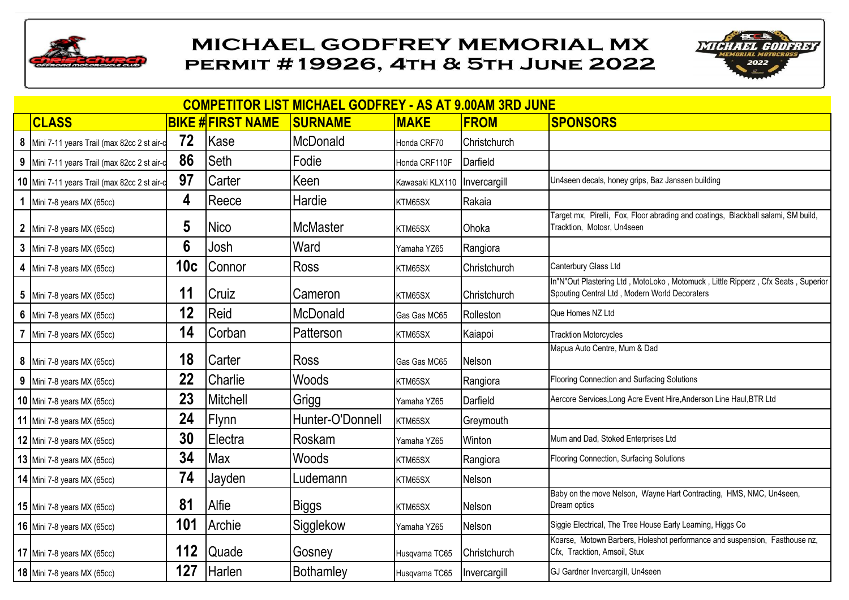



| <b>COMPETITOR LIST MICHAEL GODFREY - AS AT 9.00AM 3RD JUNE</b> |     |                         |                  |                 |              |                                                                                                                                   |  |  |  |  |  |
|----------------------------------------------------------------|-----|-------------------------|------------------|-----------------|--------------|-----------------------------------------------------------------------------------------------------------------------------------|--|--|--|--|--|
| <b>CLASS</b>                                                   |     | <b>BIKE #FIRST NAME</b> | <b>SURNAME</b>   | <b>MAKE</b>     | <b>FROM</b>  | <b>SPONSORS</b>                                                                                                                   |  |  |  |  |  |
| 8 Mini 7-11 years Trail (max 82cc 2 st air-of                  | 72  | Kase                    | McDonald         | Honda CRF70     | Christchurch |                                                                                                                                   |  |  |  |  |  |
| 9 Mini 7-11 years Trail (max 82cc 2 st air-of                  | 86  | <b>Seth</b>             | Fodie            | Honda CRF110F   | Darfield     |                                                                                                                                   |  |  |  |  |  |
| 10 Mini 7-11 years Trail (max 82cc 2 st air-c                  | 97  | Carter                  | Keen             | Kawasaki KLX110 | Invercargill | Un4seen decals, honey grips, Baz Janssen building                                                                                 |  |  |  |  |  |
| 1 Mini 7-8 years MX (65cc)                                     | 4   | Reece                   | Hardie           | KTM65SX         | Rakaia       |                                                                                                                                   |  |  |  |  |  |
| 2 Mini 7-8 years MX (65cc)                                     | 5   | <b>Nico</b>             | <b>McMaster</b>  | KTM65SX         | Ohoka        | Target mx, Pirelli, Fox, Floor abrading and coatings, Blackball salami, SM build,<br>Tracktion, Motosr, Un4seen                   |  |  |  |  |  |
| 3 Mini 7-8 years MX (65cc)                                     | 6   | Josh                    | Ward             | Yamaha YZ65     | Rangiora     |                                                                                                                                   |  |  |  |  |  |
| 4 Mini 7-8 years MX (65cc)                                     | 10c | Connor                  | <b>Ross</b>      | KTM65SX         | Christchurch | Canterbury Glass Ltd                                                                                                              |  |  |  |  |  |
| 5 Mini 7-8 years MX (65cc)                                     | 11  | Cruiz                   | Cameron          | KTM65SX         | Christchurch | In"N"Out Plastering Ltd, MotoLoko, Motomuck, Little Ripperz, Cfx Seats, Superior<br>Spouting Central Ltd, Modern World Decoraters |  |  |  |  |  |
| 6 Mini 7-8 years $MX (65cc)$                                   | 12  | Reid                    | McDonald         | Gas Gas MC65    | Rolleston    | Que Homes NZ Ltd                                                                                                                  |  |  |  |  |  |
| 7 Mini 7-8 years MX (65cc)                                     | 14  | Corban                  | Patterson        | KTM65SX         | Kaiapoi      | <b>Tracktion Motorcycles</b>                                                                                                      |  |  |  |  |  |
| 8 Mini 7-8 years MX (65cc)                                     | 18  | Carter                  | <b>Ross</b>      | Gas Gas MC65    | Nelson       | Mapua Auto Centre, Mum & Dad                                                                                                      |  |  |  |  |  |
| 9 Mini 7-8 years $MX (65cc)$                                   | 22  | Charlie                 | Woods            | KTM65SX         | Rangiora     | Flooring Connection and Surfacing Solutions                                                                                       |  |  |  |  |  |
| 10 Mini 7-8 years MX (65cc)                                    | 23  | Mitchell                | Grigg            | Yamaha YZ65     | Darfield     | Aercore Services, Long Acre Event Hire, Anderson Line Haul, BTR Ltd                                                               |  |  |  |  |  |
| 11 Mini 7-8 years MX (65cc)                                    | 24  | Flynn                   | Hunter-O'Donnell | KTM65SX         | Greymouth    |                                                                                                                                   |  |  |  |  |  |
| 12 Mini 7-8 years MX (65cc)                                    | 30  | Electra                 | Roskam           | Yamaha YZ65     | Winton       | Mum and Dad, Stoked Enterprises Ltd                                                                                               |  |  |  |  |  |
| 13 Mini 7-8 years MX (65cc)                                    | 34  | Max                     | Woods            | KTM65SX         | Rangiora     | Flooring Connection, Surfacing Solutions                                                                                          |  |  |  |  |  |
| 14 Mini 7-8 years MX (65cc)                                    | 74  | Jayden                  | Ludemann         | KTM65SX         | Nelson       |                                                                                                                                   |  |  |  |  |  |
| 15 Mini 7-8 years MX (65cc)                                    | 81  | Alfie                   | Biggs            | KTM65SX         | Nelson       | Baby on the move Nelson, Wayne Hart Contracting, HMS, NMC, Un4seen,<br>Dream optics                                               |  |  |  |  |  |
| <b>16</b> Mini 7-8 years MX (65cc)                             | 101 | Archie                  | Sigglekow        | Yamaha YZ65     | Nelson       | Siggie Electrical, The Tree House Early Learning, Higgs Co                                                                        |  |  |  |  |  |
| 17 Mini 7-8 years MX (65cc)                                    | 112 | <b>Quade</b>            | Gosney           | Husqvarna TC65  | Christchurch | Koarse, Motown Barbers, Holeshot performance and suspension, Fasthouse nz,<br>Cfx, Tracktion, Amsoil, Stux                        |  |  |  |  |  |
| 18 Mini 7-8 years MX (65cc)                                    | 127 | Harlen                  | <b>Bothamley</b> | Husqvarna TC65  | Invercargill | GJ Gardner Invercargill, Un4seen                                                                                                  |  |  |  |  |  |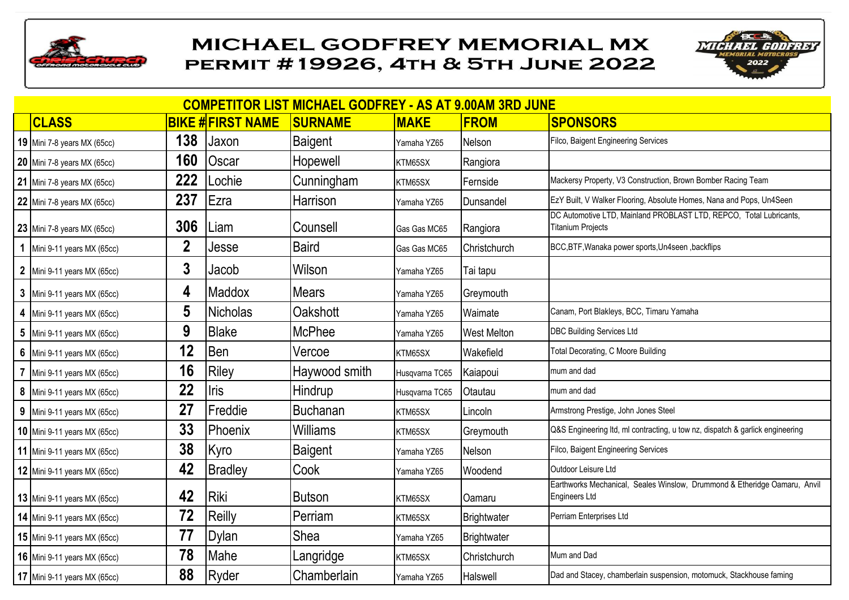



| <b>COMPETITOR LIST MICHAEL GODFREY - AS AT 9.00AM 3RD JUNE</b> |             |                         |                 |                |                    |                                                                                                |  |  |  |  |  |
|----------------------------------------------------------------|-------------|-------------------------|-----------------|----------------|--------------------|------------------------------------------------------------------------------------------------|--|--|--|--|--|
| <b>CLASS</b>                                                   |             | <b>BIKE #FIRST NAME</b> | <b>SURNAME</b>  | <b>MAKE</b>    | <b>FROM</b>        | <b>SPONSORS</b>                                                                                |  |  |  |  |  |
| 19 Mini 7-8 years MX (65cc)                                    | 138         | Jaxon                   | <b>Baigent</b>  | Yamaha YZ65    | Nelson             | Filco, Baigent Engineering Services                                                            |  |  |  |  |  |
| 20 Mini 7-8 years MX (65cc)                                    | 160         | Oscar                   | Hopewell        | KTM65SX        | Rangiora           |                                                                                                |  |  |  |  |  |
| 21 Mini 7-8 years MX (65cc)                                    | 222         | Lochie                  | Cunningham      | KTM65SX        | Fernside           | Mackersy Property, V3 Construction, Brown Bomber Racing Team                                   |  |  |  |  |  |
| 22 Mini 7-8 years MX (65cc)                                    | 237         | Ezra                    | Harrison        | Yamaha YZ65    | Dunsandel          | EzY Built, V Walker Flooring, Absolute Homes, Nana and Pops, Un4Seen                           |  |  |  |  |  |
| 23 Mini 7-8 years MX (65cc)                                    | 306         | Liam                    | Counsell        | Gas Gas MC65   | Rangiora           | DC Automotive LTD, Mainland PROBLAST LTD, REPCO, Total Lubricants,<br><b>Titanium Projects</b> |  |  |  |  |  |
| 1 Mini 9-11 years MX (65cc)                                    | $\mathbf 2$ | Jesse                   | <b>Baird</b>    | Gas Gas MC65   | Christchurch       | BCC,BTF, Wanaka power sports, Un4seen, backflips                                               |  |  |  |  |  |
| 2 Mini 9-11 years MX (65cc)                                    | 3           | Jacob                   | Wilson          | Yamaha YZ65    | Tai tapu           |                                                                                                |  |  |  |  |  |
| 3 Mini 9-11 years MX (65cc)                                    | 4           | Maddox                  | <b>Mears</b>    | Yamaha YZ65    | Greymouth          |                                                                                                |  |  |  |  |  |
| 4 Mini 9-11 years MX (65cc)                                    | 5           | <b>Nicholas</b>         | Oakshott        | Yamaha YZ65    | Waimate            | Canam, Port Blakleys, BCC, Timaru Yamaha                                                       |  |  |  |  |  |
| 5 Mini 9-11 years MX (65cc)                                    | 9           | <b>Blake</b>            | <b>McPhee</b>   | Yamaha YZ65    | <b>West Melton</b> | <b>DBC Building Services Ltd</b>                                                               |  |  |  |  |  |
| 6 Mini 9-11 years MX (65cc)                                    | 12          | <b>Ben</b>              | Vercoe          | KTM65SX        | Wakefield          | Total Decorating, C Moore Building                                                             |  |  |  |  |  |
| 7 Mini 9-11 years MX (65cc)                                    | 16          | Riley                   | Haywood smith   | Husqvarna TC65 | Kaiapoui           | mum and dad                                                                                    |  |  |  |  |  |
| 8 Mini 9-11 years MX (65cc)                                    | 22          | <b>Iris</b>             | Hindrup         | Husqvarna TC65 | Otautau            | mum and dad                                                                                    |  |  |  |  |  |
| 9 Mini 9-11 years MX (65cc)                                    | 27          | Freddie                 | <b>Buchanan</b> | KTM65SX        | Lincoln            | Armstrong Prestige, John Jones Steel                                                           |  |  |  |  |  |
| <b>10</b> Mini 9-11 years MX (65cc)                            | 33          | Phoenix                 | Williams        | KTM65SX        | Greymouth          | Q&S Engineering Itd, ml contracting, u tow nz, dispatch & garlick engineering                  |  |  |  |  |  |
| <b>11</b> Mini 9-11 years MX (65cc)                            | 38          | Kyro                    | <b>Baigent</b>  | Yamaha YZ65    | Nelson             | Filco, Baigent Engineering Services                                                            |  |  |  |  |  |
| <b>12</b> Mini 9-11 years MX (65cc)                            | 42          | <b>Bradley</b>          | Cook            | Yamaha YZ65    | Woodend            | Outdoor Leisure Ltd                                                                            |  |  |  |  |  |
| 13 Mini 9-11 years MX (65cc)                                   | 42          | Riki                    | <b>Butson</b>   | KTM65SX        | Oamaru             | Earthworks Mechanical, Seales Winslow, Drummond & Etheridge Oamaru, Anvil<br>Engineers Ltd     |  |  |  |  |  |
| <b>14</b> Mini 9-11 years MX (65cc)                            | 72          | Reilly                  | Perriam         | KTM65SX        | Brightwater        | Perriam Enterprises Ltd                                                                        |  |  |  |  |  |
| 15 Mini 9-11 years MX (65cc)                                   | 77          | Dylan                   | Shea            | Yamaha YZ65    | Brightwater        |                                                                                                |  |  |  |  |  |
| <b>16</b> Mini 9-11 years MX (65cc)                            | 78          | Mahe                    | Langridge       | KTM65SX        | Christchurch       | Mum and Dad                                                                                    |  |  |  |  |  |
| 17 Mini 9-11 years MX (65cc)                                   | 88          | <b>Ryder</b>            | Chamberlain     | Yamaha YZ65    | Halswell           | Dad and Stacey, chamberlain suspension, motomuck, Stackhouse faming                            |  |  |  |  |  |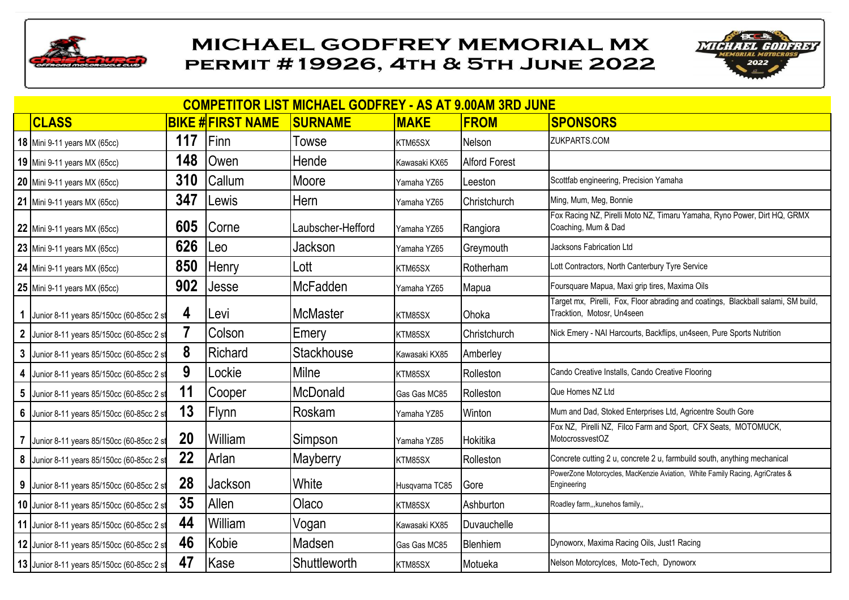



| <b>COMPETITOR LIST MICHAEL GODFREY - AS AT 9.00AM 3RD JUNE</b> |     |                         |                   |                |                      |                                                                                                                 |  |  |  |  |  |
|----------------------------------------------------------------|-----|-------------------------|-------------------|----------------|----------------------|-----------------------------------------------------------------------------------------------------------------|--|--|--|--|--|
| <b>CLASS</b>                                                   |     | <b>BIKE #FIRST NAME</b> | <b>SURNAME</b>    | <b>MAKE</b>    | <b>FROM</b>          | <b>SPONSORS</b>                                                                                                 |  |  |  |  |  |
| <b>18</b> Mini 9-11 years MX (65cc)                            | 117 | Finn                    | Towse             | KTM65SX        | Nelson               | ZUKPARTS.COM                                                                                                    |  |  |  |  |  |
| <b>19</b> Mini 9-11 years MX (65cc)                            | 148 | Owen                    | Hende             | Kawasaki KX65  | <b>Alford Forest</b> |                                                                                                                 |  |  |  |  |  |
| 20 Mini 9-11 years MX (65cc)                                   | 310 | Callum                  | Moore             | Yamaha YZ65    | Leeston              | Scottfab engineering, Precision Yamaha                                                                          |  |  |  |  |  |
| 21 Mini 9-11 years MX (65cc)                                   | 347 | Lewis                   | Hern              | Yamaha YZ65    | Christchurch         | Ming, Mum, Meg, Bonnie                                                                                          |  |  |  |  |  |
| 22 Mini 9-11 years MX (65cc)                                   | 605 | Corne                   | Laubscher-Hefford | Yamaha YZ65    | Rangiora             | Fox Racing NZ, Pirelli Moto NZ, Timaru Yamaha, Ryno Power, Dirt HQ, GRMX<br>Coaching, Mum & Dad                 |  |  |  |  |  |
| 23 Mini 9-11 years MX (65cc)                                   | 626 | Leo                     | Jackson           | Yamaha YZ65    | Greymouth            | Jacksons Fabrication Ltd                                                                                        |  |  |  |  |  |
| 24 Mini 9-11 years MX (65cc)                                   | 850 | Henry                   | Lott              | KTM65SX        | Rotherham            | Lott Contractors, North Canterbury Tyre Service                                                                 |  |  |  |  |  |
| 25 Mini 9-11 years MX (65cc)                                   | 902 | Jesse                   | <b>McFadden</b>   | Yamaha YZ65    | Mapua                | Foursquare Mapua, Maxi grip tires, Maxima Oils                                                                  |  |  |  |  |  |
| 1 Junior 8-11 years 85/150cc (60-85cc 2 st                     | 4   | Levi                    | <b>McMaster</b>   | KTM85SX        | Ohoka                | Target mx, Pirelli, Fox, Floor abrading and coatings, Blackball salami, SM build,<br>Tracktion, Motosr, Un4seen |  |  |  |  |  |
| 2 Junior 8-11 years 85/150cc (60-85cc 2 st                     |     | Colson                  | Emery             | KTM85SX        | Christchurch         | Nick Emery - NAI Harcourts, Backflips, un4seen, Pure Sports Nutrition                                           |  |  |  |  |  |
| 3 Junior 8-11 years 85/150cc (60-85cc 2 st                     | 8   | Richard                 | <b>Stackhouse</b> | Kawasaki KX85  | Amberley             |                                                                                                                 |  |  |  |  |  |
| 4 Junior 8-11 years 85/150cc (60-85cc 2 st                     | 9   | Lockie                  | Milne             | KTM85SX        | Rolleston            | Cando Creative Installs, Cando Creative Flooring                                                                |  |  |  |  |  |
| 5 Junior 8-11 years 85/150cc (60-85cc 2 st                     | 11  | Cooper                  | <b>McDonald</b>   | Gas Gas MC85   | Rolleston            | Que Homes NZ Ltd                                                                                                |  |  |  |  |  |
| 6 Junior 8-11 years 85/150cc (60-85cc 2 st                     | 13  | Flynn                   | Roskam            | Yamaha YZ85    | Winton               | Mum and Dad, Stoked Enterprises Ltd, Agricentre South Gore                                                      |  |  |  |  |  |
| 7 Junior 8-11 years 85/150cc (60-85cc 2 st                     | 20  | William                 | Simpson           | Yamaha YZ85    | Hokitika             | Fox NZ, Pirelli NZ, Filco Farm and Sport, CFX Seats, MOTOMUCK,<br>MotocrossvestOZ                               |  |  |  |  |  |
| 8 Junior 8-11 years 85/150cc (60-85cc 2 st                     | 22  | Arlan                   | Mayberry          | KTM85SX        | Rolleston            | Concrete cutting 2 u, concrete 2 u, farmbuild south, anything mechanical                                        |  |  |  |  |  |
| 9 Junior 8-11 years 85/150cc (60-85cc 2 st                     | 28  | Jackson                 | White             | Husqvarna TC85 | Gore                 | PowerZone Motorcycles, MacKenzie Aviation, White Family Racing, AgriCrates &<br>Engineering                     |  |  |  |  |  |
| 10 Junior 8-11 years 85/150cc (60-85cc 2 st                    | 35  | Allen                   | Olaco             | KTM85SX        | Ashburton            | Roadley farm,,, kunehos family,,                                                                                |  |  |  |  |  |
| 11 Junior 8-11 years 85/150cc (60-85cc 2 st                    | 44  | William                 | Vogan             | Kawasaki KX85  | Duvauchelle          |                                                                                                                 |  |  |  |  |  |
| 12 Junior 8-11 years 85/150cc (60-85cc 2 st                    | 46  | Kobie                   | Madsen            | Gas Gas MC85   | Blenhiem             | Dynoworx, Maxima Racing Oils, Just1 Racing                                                                      |  |  |  |  |  |
| 13 Junior 8-11 years 85/150cc (60-85cc 2 st                    | 47  | Kase                    | Shuttleworth      | KTM85SX        | Motueka              | Nelson Motorcylces, Moto-Tech, Dynoworx                                                                         |  |  |  |  |  |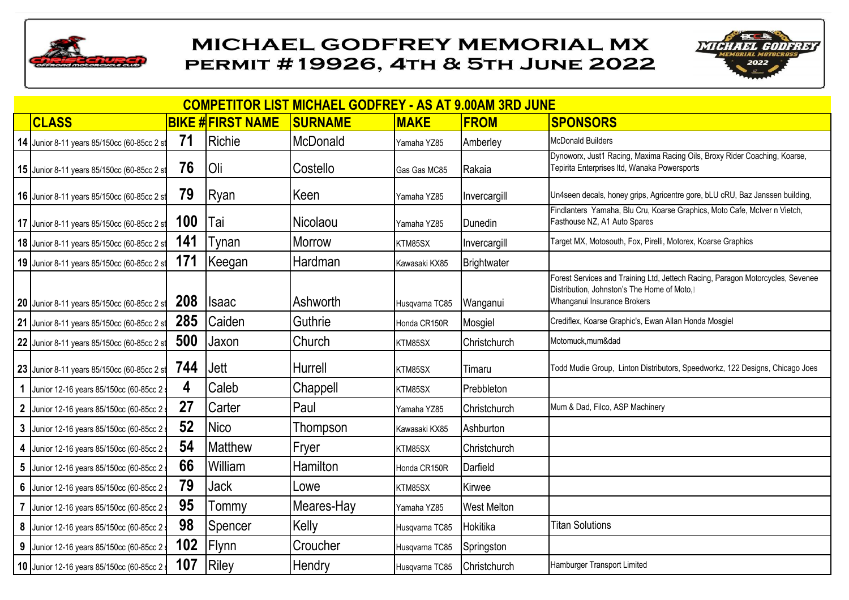



| <b>COMPETITOR LIST MICHAEL GODFREY - AS AT 9.00AM 3RD JUNE</b> |            |                         |                |                |                    |                                                                                                                                                             |  |  |  |  |  |
|----------------------------------------------------------------|------------|-------------------------|----------------|----------------|--------------------|-------------------------------------------------------------------------------------------------------------------------------------------------------------|--|--|--|--|--|
| <b>CLASS</b>                                                   |            | <b>BIKE #FIRST NAME</b> | <b>SURNAME</b> | <b>MAKE</b>    | <b>FROM</b>        | <b>SPONSORS</b>                                                                                                                                             |  |  |  |  |  |
| 14 Junior 8-11 years 85/150cc (60-85cc 2 st                    | 71         | Richie                  | McDonald       | Yamaha YZ85    | Amberley           | <b>McDonald Builders</b>                                                                                                                                    |  |  |  |  |  |
| 15 Junior 8-11 years 85/150cc (60-85cc 2 st                    | 76         | Oli                     | Costello       | Gas Gas MC85   | Rakaia             | Dynoworx, Just1 Racing, Maxima Racing Oils, Broxy Rider Coaching, Koarse,<br>Tepirita Enterprises Itd, Wanaka Powersports                                   |  |  |  |  |  |
| 16 Junior 8-11 years 85/150cc (60-85cc 2 st                    | 79         | Ryan                    | Keen           | Yamaha YZ85    | Invercargill       | Un4seen decals, honey grips, Agricentre gore, bLU cRU, Baz Janssen building,                                                                                |  |  |  |  |  |
| 17 Junior 8-11 years 85/150cc (60-85cc 2 st                    | 100        | Tai                     | Nicolaou       | Yamaha YZ85    | Dunedin            | Findlanters Yamaha, Blu Cru, Koarse Graphics, Moto Cafe, McIver n Vietch,<br>Fasthouse NZ, A1 Auto Spares                                                   |  |  |  |  |  |
| 18 Junior 8-11 years 85/150cc (60-85cc 2 st                    | 141        | Tynan                   | Morrow         | KTM85SX        | Invercargill       | Target MX, Motosouth, Fox, Pirelli, Motorex, Koarse Graphics                                                                                                |  |  |  |  |  |
| 19 Junior 8-11 years 85/150cc (60-85cc 2 st                    | 171        | Keegan                  | Hardman        | Kawasaki KX85  | <b>Brightwater</b> |                                                                                                                                                             |  |  |  |  |  |
| 20 Junior 8-11 years 85/150cc (60-85cc 2 st                    | <b>208</b> | <b>Isaac</b>            | Ashworth       | Husqvarna TC85 | Wanganui           | Forest Services and Training Ltd, Jettech Racing, Paragon Motorcycles, Sevenee<br>Distribution, Johnston's The Home of Moto,<br>Whanganui Insurance Brokers |  |  |  |  |  |
| 21 Junior 8-11 years 85/150cc (60-85cc 2 st                    | 285        | Caiden                  | Guthrie        | Honda CR150R   | Mosgiel            | Crediflex, Koarse Graphic's, Ewan Allan Honda Mosgiel                                                                                                       |  |  |  |  |  |
| 22 Junior 8-11 years 85/150cc (60-85cc 2 st                    | 500        | Jaxon                   | Church         | KTM85SX        | Christchurch       | Motomuck, mum&dad                                                                                                                                           |  |  |  |  |  |
| 23 Junior 8-11 years 85/150cc (60-85cc 2 st                    | 744        | <b>Jett</b>             | <b>Hurrell</b> | KTM85SX        | Timaru             | Todd Mudie Group, Linton Distributors, Speedworkz, 122 Designs, Chicago Joes                                                                                |  |  |  |  |  |
| 1 Junior 12-16 years 85/150cc (60-85cc 2                       | 4          | Caleb                   | Chappell       | KTM85SX        | Prebbleton         |                                                                                                                                                             |  |  |  |  |  |
| 2 Junior 12-16 years 85/150cc (60-85cc 2                       | 27         | Carter                  | Paul           | Yamaha YZ85    | Christchurch       | Mum & Dad, Filco, ASP Machinery                                                                                                                             |  |  |  |  |  |
| 3 Junior 12-16 years 85/150cc (60-85cc 2                       | 52         | <b>Nico</b>             | Thompson       | Kawasaki KX85  | Ashburton          |                                                                                                                                                             |  |  |  |  |  |
| 4 Junior 12-16 years 85/150cc (60-85cc 2                       | 54         | <b>Matthew</b>          | Fryer          | KTM85SX        | Christchurch       |                                                                                                                                                             |  |  |  |  |  |
| 5 Junior 12-16 years 85/150cc (60-85cc 2                       | 66         | William                 | Hamilton       | Honda CR150R   | Darfield           |                                                                                                                                                             |  |  |  |  |  |
| 6 Junior 12-16 years 85/150cc (60-85cc 2                       | 79         | <b>Jack</b>             | Lowe           | KTM85SX        | Kirwee             |                                                                                                                                                             |  |  |  |  |  |
| 7 Junior 12-16 years 85/150cc (60-85cc 2 st                    | 95         | Tommy                   | Meares-Hay     | Yamaha YZ85    | <b>West Melton</b> |                                                                                                                                                             |  |  |  |  |  |
| 8 Junior 12-16 years 85/150cc (60-85cc 2 st                    | 98         | Spencer                 | Kelly          | Husqvarna TC85 | Hokitika           | <b>Titan Solutions</b>                                                                                                                                      |  |  |  |  |  |
| 9 Junior 12-16 years 85/150cc (60-85cc 2                       | 102        | <b>Flynn</b>            | Croucher       | Husqvarna TC85 | Springston         |                                                                                                                                                             |  |  |  |  |  |
| 10 Junior 12-16 years 85/150cc (60-85cc 2                      | 107        | Riley                   | Hendry         | Husqvarna TC85 | Christchurch       | Hamburger Transport Limited                                                                                                                                 |  |  |  |  |  |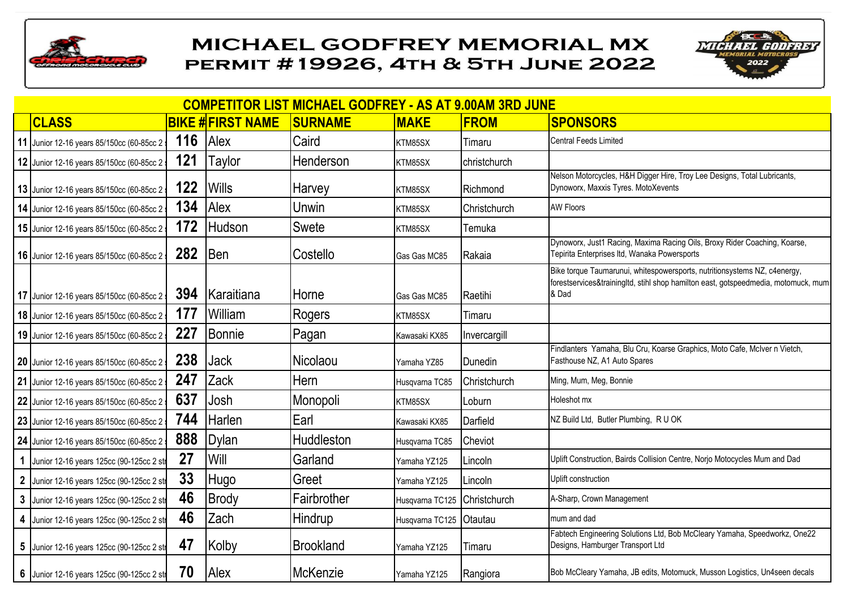



| <b>COMPETITOR LIST MICHAEL GODFREY - AS AT 9.00AM 3RD JUNE</b> |     |                         |                  |                 |              |                                                                                                                                                                          |  |  |  |  |
|----------------------------------------------------------------|-----|-------------------------|------------------|-----------------|--------------|--------------------------------------------------------------------------------------------------------------------------------------------------------------------------|--|--|--|--|
| <b>CLASS</b>                                                   |     | <b>BIKE #FIRST NAME</b> | <b>SURNAME</b>   | <b>MAKE</b>     | <b>FROM</b>  | <b>SPONSORS</b>                                                                                                                                                          |  |  |  |  |
| 11 Junior 12-16 years 85/150cc (60-85cc 2                      | 116 | Alex                    | Caird            | KTM85SX         | Timaru       | <b>Central Feeds Limited</b>                                                                                                                                             |  |  |  |  |
| 12 Junior 12-16 years 85/150cc (60-85cc 2                      | 121 | Taylor                  | Henderson        | KTM85SX         | christchurch |                                                                                                                                                                          |  |  |  |  |
| 13 Junior 12-16 years 85/150cc (60-85cc 2                      | 122 | <b>Wills</b>            | Harvey           | KTM85SX         | Richmond     | Nelson Motorcycles, H&H Digger Hire, Troy Lee Designs, Total Lubricants,<br>Dynoworx, Maxxis Tyres. MotoXevents                                                          |  |  |  |  |
| 14 Junior 12-16 years 85/150cc (60-85cc 2 st                   | 134 | Alex                    | Unwin            | KTM85SX         | Christchurch | <b>AW Floors</b>                                                                                                                                                         |  |  |  |  |
| 15 Junior 12-16 years 85/150cc (60-85cc 2                      | 172 | <b>Hudson</b>           | <b>Swete</b>     | KTM85SX         | Temuka       |                                                                                                                                                                          |  |  |  |  |
| 16 Junior 12-16 years 85/150cc (60-85cc 2                      | 282 | <b>Ben</b>              | Costello         | Gas Gas MC85    | Rakaia       | Dynoworx, Just1 Racing, Maxima Racing Oils, Broxy Rider Coaching, Koarse,<br>Tepirita Enterprises Itd, Wanaka Powersports                                                |  |  |  |  |
| 17 Junior 12-16 years 85/150cc (60-85cc 2                      | 394 | <b>Karaitiana</b>       | Horne            | Gas Gas MC85    | Raetihi      | Bike torque Taumarunui, whitespowersports, nutritionsystems NZ, c4energy,<br>forestservices&trainingItd, stihl shop hamilton east, gotspeedmedia, motomuck, mum<br>& Dad |  |  |  |  |
| 18 Junior 12-16 years 85/150cc (60-85cc 2                      | 177 | William                 | Rogers           | KTM85SX         | Timaru       |                                                                                                                                                                          |  |  |  |  |
| 19 Junior 12-16 years 85/150cc (60-85cc 2                      | 227 | <b>Bonnie</b>           | Pagan            | Kawasaki KX85   | Invercargill |                                                                                                                                                                          |  |  |  |  |
| 20 Junior 12-16 years 85/150cc (60-85cc 2                      | 238 | <b>Jack</b>             | Nicolaou         | Yamaha YZ85     | Dunedin      | Findlanters Yamaha, Blu Cru, Koarse Graphics, Moto Cafe, McIver n Vietch,<br>Fasthouse NZ, A1 Auto Spares                                                                |  |  |  |  |
| 21 Junior 12-16 years 85/150cc (60-85cc 2                      | 247 | Zack                    | Hern             | Husqvarna TC85  | Christchurch | Ming, Mum, Meg, Bonnie                                                                                                                                                   |  |  |  |  |
| 22 Junior 12-16 years 85/150cc (60-85cc 2                      | 637 | Josh                    | Monopoli         | KTM85SX         | Loburn       | Holeshot mx                                                                                                                                                              |  |  |  |  |
| 23 Junior 12-16 years 85/150cc (60-85cc 2                      | 744 | Harlen                  | Earl             | Kawasaki KX85   | Darfield     | NZ Build Ltd, Butler Plumbing, R U OK                                                                                                                                    |  |  |  |  |
| 24 Junior 12-16 years 85/150cc (60-85cc 2                      | 888 | <b>Dylan</b>            | Huddleston       | Husqvarna TC85  | Cheviot      |                                                                                                                                                                          |  |  |  |  |
| 1 Junior 12-16 years 125cc (90-125cc 2 str                     | 27  | Will                    | Garland          | Yamaha YZ125    | Lincoln      | Uplift Construction, Bairds Collision Centre, Norjo Motocycles Mum and Dad                                                                                               |  |  |  |  |
| 2 Junior 12-16 years 125cc (90-125cc 2 str                     | 33  | <b>Hugo</b>             | Greet            | Yamaha YZ125    | Lincoln      | Uplift construction                                                                                                                                                      |  |  |  |  |
| 3 Junior 12-16 years 125cc (90-125cc 2 str                     | 46  | <b>Brody</b>            | Fairbrother      | Husqvarna TC125 | Christchurch | A-Sharp, Crown Management                                                                                                                                                |  |  |  |  |
| 4 Junior 12-16 years 125cc (90-125cc 2 str                     | 46  | Zach                    | Hindrup          | Husqvarna TC125 | Otautau      | mum and dad                                                                                                                                                              |  |  |  |  |
| 5 Junior 12-16 years 125cc (90-125cc 2 str                     | 47  | Kolby                   | <b>Brookland</b> | Yamaha YZ125    | Timaru       | Fabtech Engineering Solutions Ltd, Bob McCleary Yamaha, Speedworkz, One22<br>Designs, Hamburger Transport Ltd                                                            |  |  |  |  |
| 6 Junior 12-16 years 125cc (90-125cc 2 str                     | 70  | Alex                    | McKenzie         | Yamaha YZ125    | Rangiora     | Bob McCleary Yamaha, JB edits, Motomuck, Musson Logistics, Un4seen decals                                                                                                |  |  |  |  |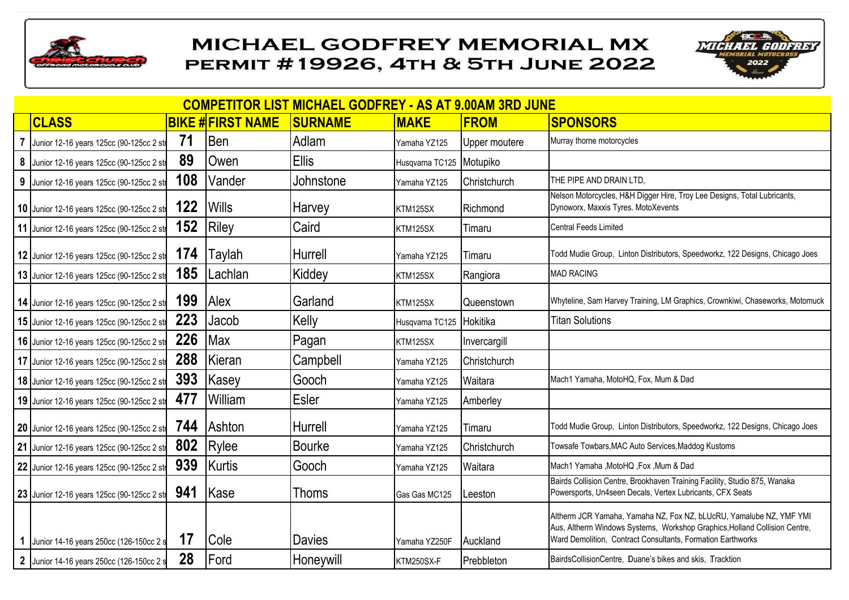



|                  | <b>COMPETITOR LIST MICHAEL GODFREY - AS AT 9.00AM 3RD JUNE</b> |     |                         |                |                          |                |                                                                                                                                                                                                                  |  |  |  |  |  |
|------------------|----------------------------------------------------------------|-----|-------------------------|----------------|--------------------------|----------------|------------------------------------------------------------------------------------------------------------------------------------------------------------------------------------------------------------------|--|--|--|--|--|
|                  | <b>CLASS</b>                                                   |     | <b>BIKE #FIRST NAME</b> | <b>SURNAME</b> | <b>MAKE</b>              | <b>FROM</b>    | <b>SPONSORS</b>                                                                                                                                                                                                  |  |  |  |  |  |
|                  | Junior 12-16 years 125cc (90-125cc 2 str                       | 71  | <b>Ben</b>              | Adlam          | Yamaha YZ125             | Upper moutere  | Murray thorne motorcycles                                                                                                                                                                                        |  |  |  |  |  |
|                  | 8 Junior 12-16 years 125cc (90-125cc 2 str                     | 89  | Owen                    | <b>Ellis</b>   | Husqvarna TC125 Motupiko |                |                                                                                                                                                                                                                  |  |  |  |  |  |
| $\boldsymbol{9}$ | Junior 12-16 years 125cc (90-125cc 2 str                       | 108 | Vander                  | Johnstone      | Yamaha YZ125             | Christchurch   | THE PIPE AND DRAIN LTD,                                                                                                                                                                                          |  |  |  |  |  |
|                  | 10 Junior 12-16 years 125cc (90-125cc 2 str                    | 122 | <b>Wills</b>            | <b>Harvey</b>  | KTM125SX                 | Richmond       | Nelson Motorcycles, H&H Digger Hire, Troy Lee Designs, Total Lubricants,<br>Dynoworx, Maxxis Tyres. MotoXevents                                                                                                  |  |  |  |  |  |
|                  | 11 Junior 12-16 years 125cc (90-125cc 2 str                    | 152 | Riley                   | Caird          | KTM125SX                 | Timaru         | <b>Central Feeds Limited</b>                                                                                                                                                                                     |  |  |  |  |  |
|                  | 12 Junior 12-16 years 125cc (90-125cc 2 str                    | 174 | <b>Taylah</b>           | Hurrell        | Yamaha YZ125             | Timaru         | Todd Mudie Group, Linton Distributors, Speedworkz, 122 Designs, Chicago Joes                                                                                                                                     |  |  |  |  |  |
|                  | 13 Junior 12-16 years 125cc (90-125cc 2 str                    | 185 | Lachlan                 | Kiddey         | KTM125SX                 | Rangiora       | <b>MAD RACING</b>                                                                                                                                                                                                |  |  |  |  |  |
|                  | 14 Junior 12-16 years 125cc (90-125cc 2 str                    | 199 | <b>Alex</b>             | Garland        | KTM125SX                 | Queenstown     | Whyteline, Sam Harvey Training, LM Graphics, Crownkiwi, Chaseworks, Motomuck                                                                                                                                     |  |  |  |  |  |
|                  | 15 Junior 12-16 years 125cc (90-125cc 2 str                    | 223 | Jacob                   | Kelly          | Husqvarna TC125          | Hokitika       | <b>Titan Solutions</b>                                                                                                                                                                                           |  |  |  |  |  |
|                  | 16 Junior 12-16 years 125cc (90-125cc 2 str                    | 226 | Max                     | Pagan          | KTM125SX                 | Invercargill   |                                                                                                                                                                                                                  |  |  |  |  |  |
|                  | 17 Junior 12-16 years 125cc (90-125cc 2 str                    | 288 | Kieran                  | Campbell       | Yamaha YZ125             | Christchurch   |                                                                                                                                                                                                                  |  |  |  |  |  |
|                  | 18 Junior 12-16 years 125cc (90-125cc 2 str                    | 393 | Kasey                   | Gooch          | Yamaha YZ125             | <b>Waitara</b> | Mach1 Yamaha, MotoHQ, Fox, Mum & Dad                                                                                                                                                                             |  |  |  |  |  |
|                  | 19 Junior 12-16 years 125cc (90-125cc 2 str                    | 477 | <b>William</b>          | Esler          | Yamaha YZ125             | Amberley       |                                                                                                                                                                                                                  |  |  |  |  |  |
|                  | 20 Junior 12-16 years 125cc (90-125cc 2 str                    | 744 | <b>Ashton</b>           | Hurrell        | Yamaha YZ125             | Timaru         | Todd Mudie Group, Linton Distributors, Speedworkz, 122 Designs, Chicago Joes                                                                                                                                     |  |  |  |  |  |
|                  | 21 Junior 12-16 years 125cc (90-125cc 2 str                    | 802 | Rylee                   | <b>Bourke</b>  | Yamaha YZ125             | Christchurch   | Towsafe Towbars, MAC Auto Services, Maddog Kustoms                                                                                                                                                               |  |  |  |  |  |
|                  | 22 Junior 12-16 years 125cc (90-125cc 2 str                    | 939 | Kurtis                  | Gooch          | Yamaha YZ125             | Waitara        | Mach1 Yamaha , MotoHQ , Fox , Mum & Dad                                                                                                                                                                          |  |  |  |  |  |
|                  | 23 Junior 12-16 years 125cc (90-125cc 2 str                    | 941 | <b>Kase</b>             | <b>Thoms</b>   | Gas Gas MC125            | Leeston        | Bairds Collision Centre, Brookhaven Training Facility, Studio 875, Wanaka<br>Powersports, Un4seen Decals, Vertex Lubricants, CFX Seats                                                                           |  |  |  |  |  |
|                  | Junior 14-16 years 250cc (126-150cc 2 s                        | 17  | <b>Cole</b>             | <b>Davies</b>  | Yamaha YZ250F            | Auckland       | Altherm JCR Yamaha, Yamaha NZ, Fox NZ, bLUcRU, Yamalube NZ, YMF YMI<br>Aus, Altherm Windows Systems, Workshop Graphics, Holland Collision Centre,<br>Ward Demolition, Contract Consultants, Formation Earthworks |  |  |  |  |  |
|                  | 2 Junior 14-16 years 250cc (126-150cc 2 s                      | 28  | Ford                    | Honeywill      | KTM250SX-F               | Prebbleton     | BairdsCollisionCentre, Duane's bikes and skis, Tracktion                                                                                                                                                         |  |  |  |  |  |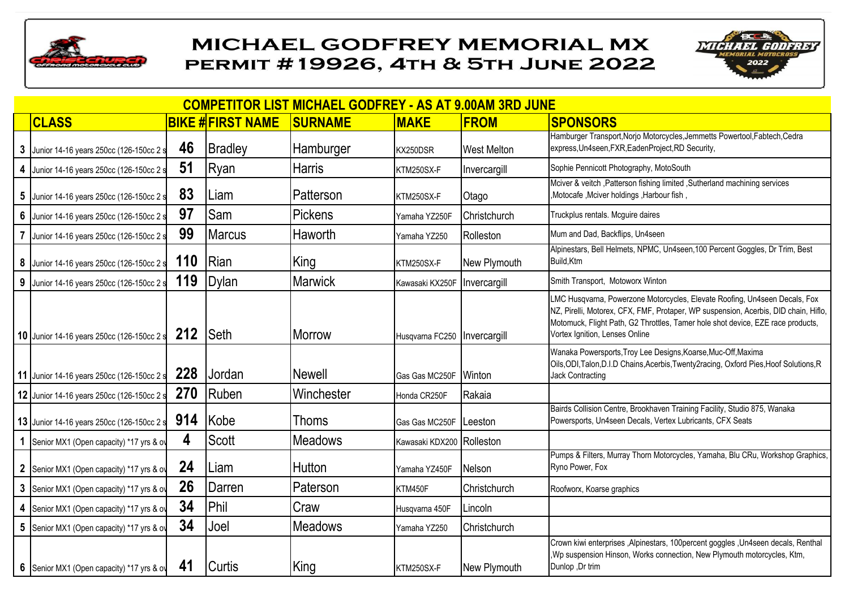



|                 | <b>COMPETITOR LIST MICHAEL GODFREY - AS AT 9.00AM 3RD JUNE</b> |     |                         |                |                                |                     |                                                                                                                                                                                                                                                                                        |  |  |  |  |  |
|-----------------|----------------------------------------------------------------|-----|-------------------------|----------------|--------------------------------|---------------------|----------------------------------------------------------------------------------------------------------------------------------------------------------------------------------------------------------------------------------------------------------------------------------------|--|--|--|--|--|
|                 | <b>CLASS</b>                                                   |     | <b>BIKE #FIRST NAME</b> | <b>SURNAME</b> | <b>MAKE</b>                    | <b>FROM</b>         | <b>SPONSORS</b>                                                                                                                                                                                                                                                                        |  |  |  |  |  |
| 3               | Junior 14-16 years 250cc (126-150cc 2 s                        | 46  | Bradley                 | Hamburger      | KX250DSR                       | <b>West Melton</b>  | Hamburger Transport, Norjo Motorcycles, Jemmetts Powertool, Fabtech, Cedra<br>express, Un4seen, FXR, EadenProject, RD Security,                                                                                                                                                        |  |  |  |  |  |
| 4               | Junior 14-16 years 250cc (126-150cc 2 s                        | 51  | Ryan                    | <b>Harris</b>  | KTM250SX-F                     | Invercargill        | Sophie Pennicott Photography, MotoSouth                                                                                                                                                                                                                                                |  |  |  |  |  |
| 5               | Junior 14-16 years 250cc (126-150cc 2 s                        | 83  | Liam                    | Patterson      | KTM250SX-F                     | Otago               | Mciver & veitch , Patterson fishing limited , Sutherland machining services<br>, Motocafe, Mciver holdings, Harbour fish,                                                                                                                                                              |  |  |  |  |  |
| $6\phantom{a}$  | Junior 14-16 years 250cc (126-150cc 2 s                        | 97  | Sam                     | Pickens        | Yamaha YZ250F                  | <b>Christchurch</b> | Truckplus rentals. Mcguire daires                                                                                                                                                                                                                                                      |  |  |  |  |  |
|                 | Junior 14-16 years 250cc (126-150cc 2 s                        | 99  | <b>Marcus</b>           | Haworth        | Yamaha YZ250                   | Rolleston           | Mum and Dad, Backflips, Un4seen                                                                                                                                                                                                                                                        |  |  |  |  |  |
|                 | 8 Junior 14-16 years 250cc (126-150cc 2 s                      | 110 | Rian                    | King           | KTM250SX-F                     | New Plymouth        | Alpinestars, Bell Helmets, NPMC, Un4seen, 100 Percent Goggles, Dr Trim, Best<br>Build, Ktm                                                                                                                                                                                             |  |  |  |  |  |
| $9\phantom{.0}$ | Junior 14-16 years 250cc (126-150cc 2 s                        | 119 | Dylan                   | <b>Marwick</b> | Kawasaki KX250F                | Invercargill        | Smith Transport, Motoworx Winton                                                                                                                                                                                                                                                       |  |  |  |  |  |
|                 | 10 Junior 14-16 years 250cc (126-150cc 2 s                     | 212 | <b>Seth</b>             | <b>Morrow</b>  | Husqvarna FC250   Invercargill |                     | LMC Husqvarna, Powerzone Motorcycles, Elevate Roofing, Un4seen Decals, Fox<br>NZ, Pirelli, Motorex, CFX, FMF, Protaper, WP suspension, Acerbis, DID chain, Hiflo,<br>Motomuck, Flight Path, G2 Throttles, Tamer hole shot device, EZE race products,<br>Vortex Ignition, Lenses Online |  |  |  |  |  |
|                 | 11 Junior 14-16 years 250cc (126-150cc 2 s                     | 228 | Jordan                  | <b>Newell</b>  | Gas Gas MC250F                 | <b>Winton</b>       | Wanaka Powersports, Troy Lee Designs, Koarse, Muc-Off, Maxima<br>Oils, ODI, Talon, D.I.D Chains, Acerbis, Twenty 2racing, Oxford Pies, Hoof Solutions, R<br><b>Jack Contracting</b>                                                                                                    |  |  |  |  |  |
|                 | 12 Junior 14-16 years 250cc (126-150cc 2 s                     | 270 | Ruben                   | Winchester     | Honda CR250F                   | Rakaia              |                                                                                                                                                                                                                                                                                        |  |  |  |  |  |
|                 | 13 Junior 14-16 years 250cc (126-150cc 2 s                     | 914 | Kobe                    | <b>Thoms</b>   | Gas Gas MC250F                 | Leeston             | Bairds Collision Centre, Brookhaven Training Facility, Studio 875, Wanaka<br>Powersports, Un4seen Decals, Vertex Lubricants, CFX Seats                                                                                                                                                 |  |  |  |  |  |
|                 | 1 Senior MX1 (Open capacity) *17 yrs & ov                      | 4   | <b>Scott</b>            | <b>Meadows</b> | Kawasaki KDX200 Rolleston      |                     |                                                                                                                                                                                                                                                                                        |  |  |  |  |  |
|                 | 2 Senior MX1 (Open capacity) *17 yrs & ov                      | 24  | Liam                    | Hutton         | Yamaha YZ450F                  | Nelson              | Pumps & Filters, Murray Thorn Motorcycles, Yamaha, Blu CRu, Workshop Graphics,<br>Ryno Power, Fox                                                                                                                                                                                      |  |  |  |  |  |
| $\mathbf{3}$    | Senior MX1 (Open capacity) *17 yrs & ov                        | 26  | <b>IDarren</b>          | Paterson       | KTM450F                        | Christchurch        | Roofworx, Koarse graphics                                                                                                                                                                                                                                                              |  |  |  |  |  |
| 4               | Senior MX1 (Open capacity) *17 yrs & ov                        | 34  | <b>Phil</b>             | Craw           | Husqvarna 450F                 | Lincoln             |                                                                                                                                                                                                                                                                                        |  |  |  |  |  |
| $5\phantom{.0}$ | Senior MX1 (Open capacity) *17 yrs & ov                        | 34  | Joel                    | <b>Meadows</b> | Yamaha YZ250                   | Christchurch        |                                                                                                                                                                                                                                                                                        |  |  |  |  |  |
|                 | 6 Senior MX1 (Open capacity) *17 yrs & ov                      | 41  | <b>Curtis</b>           | King           | KTM250SX-F                     | New Plymouth        | Crown kiwi enterprises , Alpinestars, 100percent goggles , Un4seen decals, Renthal<br>Wp suspension Hinson, Works connection, New Plymouth motorcycles, Ktm,<br>Dunlop ,Dr trim                                                                                                        |  |  |  |  |  |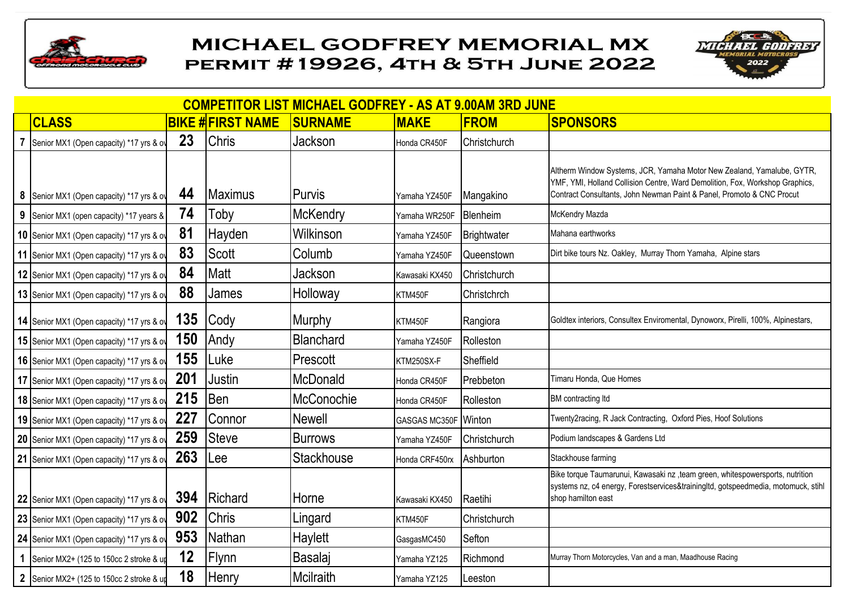



|             | <b>COMPETITOR LIST MICHAEL GODFREY - AS AT 9.00AM 3RD JUNE</b> |     |                         |                 |                      |                    |                                                                                                                                                                                                                                 |  |  |  |  |  |
|-------------|----------------------------------------------------------------|-----|-------------------------|-----------------|----------------------|--------------------|---------------------------------------------------------------------------------------------------------------------------------------------------------------------------------------------------------------------------------|--|--|--|--|--|
|             | <b>CLASS</b>                                                   |     | <b>BIKE #FIRST NAME</b> | <b>SURNAME</b>  | <b>MAKE</b>          | <b>FROM</b>        | <b>SPONSORS</b>                                                                                                                                                                                                                 |  |  |  |  |  |
|             | Senior MX1 (Open capacity) *17 yrs & ov                        | 23  | <b>Chris</b>            | Jackson         | Honda CR450F         | Christchurch       |                                                                                                                                                                                                                                 |  |  |  |  |  |
| 8           | Senior MX1 (Open capacity) *17 yrs & ov                        | 44  | <b>Maximus</b>          | Purvis          | Yamaha YZ450F        | Mangakino          | Altherm Window Systems, JCR, Yamaha Motor New Zealand, Yamalube, GYTR,<br>YMF, YMI, Holland Collision Centre, Ward Demolition, Fox, Workshop Graphics,<br>Contract Consultants, John Newman Paint & Panel, Promoto & CNC Procut |  |  |  |  |  |
| 9           | Senior MX1 (open capacity) *17 years &                         | 74  | Toby                    | <b>McKendry</b> | Yamaha WR250F        | Blenheim           | McKendry Mazda                                                                                                                                                                                                                  |  |  |  |  |  |
|             | 10 Senior MX1 (Open capacity) *17 yrs & ov                     | 81  | Hayden                  | Wilkinson       | Yamaha YZ450F        | <b>Brightwater</b> | Mahana earthworks                                                                                                                                                                                                               |  |  |  |  |  |
|             | 11 Senior MX1 (Open capacity) *17 yrs & ov                     | 83  | <b>IScott</b>           | Columb          | Yamaha YZ450F        | Queenstown         | Dirt bike tours Nz. Oakley, Murray Thorn Yamaha, Alpine stars                                                                                                                                                                   |  |  |  |  |  |
|             | 12 Senior MX1 (Open capacity) *17 yrs & ov                     | 84  | Matt                    | Jackson         | Kawasaki KX450       | Christchurch       |                                                                                                                                                                                                                                 |  |  |  |  |  |
|             | 13 Senior MX1 (Open capacity) *17 yrs & ov                     | 88  | James                   | Holloway        | KTM450F              | Christchrch        |                                                                                                                                                                                                                                 |  |  |  |  |  |
|             | 14 Senior MX1 (Open capacity) *17 yrs & ov                     | 135 | <b>Cody</b>             | Murphy          | KTM450F              | Rangiora           | Goldtex interiors, Consultex Enviromental, Dynoworx, Pirelli, 100%, Alpinestars,                                                                                                                                                |  |  |  |  |  |
|             | 15 Senior MX1 (Open capacity) *17 yrs & ov                     | 150 | Andy                    | Blanchard       | Yamaha YZ450F        | Rolleston          |                                                                                                                                                                                                                                 |  |  |  |  |  |
|             | 16 Senior MX1 (Open capacity) *17 yrs & ov                     | 155 | Luke                    | Prescott        | KTM250SX-F           | Sheffield          |                                                                                                                                                                                                                                 |  |  |  |  |  |
|             | 17 Senior MX1 (Open capacity) *17 yrs & ov                     | 201 | Justin                  | <b>McDonald</b> | Honda CR450F         | Prebbeton          | Timaru Honda, Que Homes                                                                                                                                                                                                         |  |  |  |  |  |
|             | 18 Senior MX1 (Open capacity) *17 yrs & ov                     | 215 | Ben                     | McConochie      | Honda CR450F         | Rolleston          | BM contracting Itd                                                                                                                                                                                                              |  |  |  |  |  |
|             | 19 Senior MX1 (Open capacity) *17 yrs & ov                     | 227 | Connor                  | <b>Newell</b>   | GASGAS MC350F Winton |                    | Twenty2racing, R Jack Contracting, Oxford Pies, Hoof Solutions                                                                                                                                                                  |  |  |  |  |  |
|             | 20 Senior MX1 (Open capacity) *17 yrs & ov                     | 259 | Steve                   | <b>Burrows</b>  | Yamaha YZ450F        | Christchurch       | Podium landscapes & Gardens Ltd                                                                                                                                                                                                 |  |  |  |  |  |
|             | 21 Senior MX1 (Open capacity) *17 yrs & ov                     | 263 | ee                      | Stackhouse      | Honda CRF450rx       | Ashburton          | Stackhouse farming                                                                                                                                                                                                              |  |  |  |  |  |
|             | 22 Senior MX1 (Open capacity) *17 yrs & ov                     | 394 | Richard                 | Horne           | Kawasaki KX450       | Raetihi            | Bike torque Taumarunui, Kawasaki nz , team green, whitespowersports, nutrition<br>systems nz, c4 energy, Forestservices&trainingItd, gotspeedmedia, motomuck, stihl<br>shop hamilton east                                       |  |  |  |  |  |
|             | 23 Senior MX1 (Open capacity) *17 yrs & ov                     | 902 | <b>Chris</b>            | Lingard         | KTM450F              | Christchurch       |                                                                                                                                                                                                                                 |  |  |  |  |  |
|             | 24 Senior MX1 (Open capacity) *17 yrs & ov                     | 953 | Nathan                  | <b>Haylett</b>  | GasgasMC450          | Sefton             |                                                                                                                                                                                                                                 |  |  |  |  |  |
| $\mathbf 1$ | Senior MX2+ (125 to 150cc 2 stroke & up                        | 12  | <b>Flynn</b>            | Basalaj         | Yamaha YZ125         | Richmond           | Murray Thorn Motorcycles, Van and a man, Maadhouse Racing                                                                                                                                                                       |  |  |  |  |  |
|             | 2 Senior MX2+ (125 to 150cc 2 stroke & up                      | 18  | <b>Henry</b>            | Mcilraith       | Yamaha YZ125         | Leeston            |                                                                                                                                                                                                                                 |  |  |  |  |  |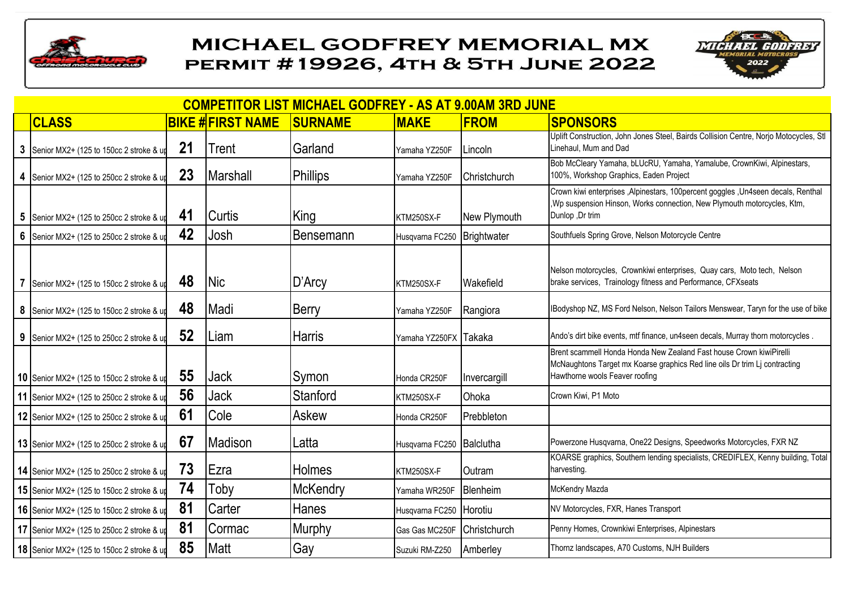



| <b>COMPETITOR LIST MICHAEL GODFREY - AS AT 9.00AM 3RD JUNE</b> |    |                         |                  |                           |                  |                                                                                                                                                                                     |  |  |  |  |  |
|----------------------------------------------------------------|----|-------------------------|------------------|---------------------------|------------------|-------------------------------------------------------------------------------------------------------------------------------------------------------------------------------------|--|--|--|--|--|
| <b>CLASS</b>                                                   |    | <b>BIKE #FIRST NAME</b> | <b>SURNAME</b>   | <b>MAKE</b>               | <b>FROM</b>      | <b>SPONSORS</b>                                                                                                                                                                     |  |  |  |  |  |
| 3 Senior MX2+ (125 to 150cc 2 stroke & up                      | 21 | Trent                   | Garland          | Yamaha YZ250F             | Lincoln          | Uplift Construction, John Jones Steel, Bairds Collision Centre, Norjo Motocycles, Stl<br>Linehaul, Mum and Dad                                                                      |  |  |  |  |  |
| 4 Senior MX2+ (125 to 250cc 2 stroke & up                      | 23 | <b>Marshall</b>         | Phillips         | Yamaha YZ250F             | Christchurch     | Bob McCleary Yamaha, bLUcRU, Yamaha, Yamalube, CrownKiwi, Alpinestars,<br>100%, Workshop Graphics, Eaden Project                                                                    |  |  |  |  |  |
| 5 Senior MX2+ (125 to 250cc 2 stroke & up                      | 41 | <b>Curtis</b>           | <b>King</b>      | KTM250SX-F                | New Plymouth     | Crown kiwi enterprises , Alpinestars, 100percent goggles , Un4seen decals, Renthal<br>, Wp suspension Hinson, Works connection, New Plymouth motorcycles, Ktm,<br>Dunlop ,Dr trim   |  |  |  |  |  |
| 6 Senior MX2+ (125 to 250cc 2 stroke & up                      | 42 | Josh                    | <b>Bensemann</b> | Husqvarna FC250           | Brightwater      | Southfuels Spring Grove, Nelson Motorcycle Centre                                                                                                                                   |  |  |  |  |  |
| 7 Senior MX2+ (125 to 150cc 2 stroke & up                      | 48 | <b>Nic</b>              | D'Arcy           | KTM250SX-F                | <b>Wakefield</b> | Nelson motorcycles, Crownkiwi enterprises, Quay cars, Moto tech, Nelson<br>brake services, Trainology fitness and Performance, CFXseats                                             |  |  |  |  |  |
| 8 Senior MX2+ (125 to 150cc 2 stroke & up                      | 48 | Madi                    | Berry            | Yamaha YZ250F             | Rangiora         | IBodyshop NZ, MS Ford Nelson, Nelson Tailors Menswear, Taryn for the use of bike                                                                                                    |  |  |  |  |  |
| 9 Senior MX2+ (125 to 250cc 2 stroke & up                      | 52 | Liam                    | <b>Harris</b>    | Yamaha YZ250FX Takaka     |                  | Ando's dirt bike events, mtf finance, un4seen decals, Murray thorn motorcycles.                                                                                                     |  |  |  |  |  |
| 10 Senior MX2+ (125 to 150cc 2 stroke & up                     | 55 | <b>Jack</b>             | Symon            | Honda CR250F              | Invercargill     | Brent scammell Honda Honda New Zealand Fast house Crown kiwiPirelli<br>McNaughtons Target mx Koarse graphics Red line oils Dr trim Li contracting<br>Hawthorne wools Feaver roofing |  |  |  |  |  |
| 11 Senior MX2+ (125 to 250cc 2 stroke & up                     | 56 | <b>Jack</b>             | Stanford         | KTM250SX-F                | Ohoka            | Crown Kiwi, P1 Moto                                                                                                                                                                 |  |  |  |  |  |
| 12 Senior MX2+ (125 to 250cc 2 stroke & up                     | 61 | Cole                    | Askew            | Honda CR250F              | Prebbleton       |                                                                                                                                                                                     |  |  |  |  |  |
| 13 Senior MX2+ (125 to 250cc 2 stroke & up                     | 67 | Madison                 | Latta            | Husqvarna FC250 Balclutha |                  | Powerzone Husqvarna, One22 Designs, Speedworks Motorcycles, FXR NZ                                                                                                                  |  |  |  |  |  |
| 14 Senior MX2+ (125 to 250cc 2 stroke & up                     | 73 | Ezra                    | <b>Holmes</b>    | KTM250SX-F                | <b>Outram</b>    | KOARSE graphics, Southern lending specialists, CREDIFLEX, Kenny building, Total<br>harvesting.                                                                                      |  |  |  |  |  |
| 15 Senior MX2+ (125 to 150cc 2 stroke & up                     | 74 | Toby                    | McKendry         | Yamaha WR250F             | Blenheim         | McKendry Mazda                                                                                                                                                                      |  |  |  |  |  |
| 16 Senior MX2+ (125 to 150cc 2 stroke & up                     | 81 | Carter                  | Hanes            | Husqvarna FC250 Horotiu   |                  | NV Motorcycles, FXR, Hanes Transport                                                                                                                                                |  |  |  |  |  |
| 17 Senior MX2+ (125 to 250cc 2 stroke & up                     | 81 | Cormac                  | Murphy           | Gas Gas MC250F            | Christchurch     | Penny Homes, Crownkiwi Enterprises, Alpinestars                                                                                                                                     |  |  |  |  |  |
| 18 Senior MX2+ (125 to 150cc 2 stroke & up                     | 85 | <b>Matt</b>             | Gay              | Suzuki RM-Z250            | Amberley         | Thornz landscapes, A70 Customs, NJH Builders                                                                                                                                        |  |  |  |  |  |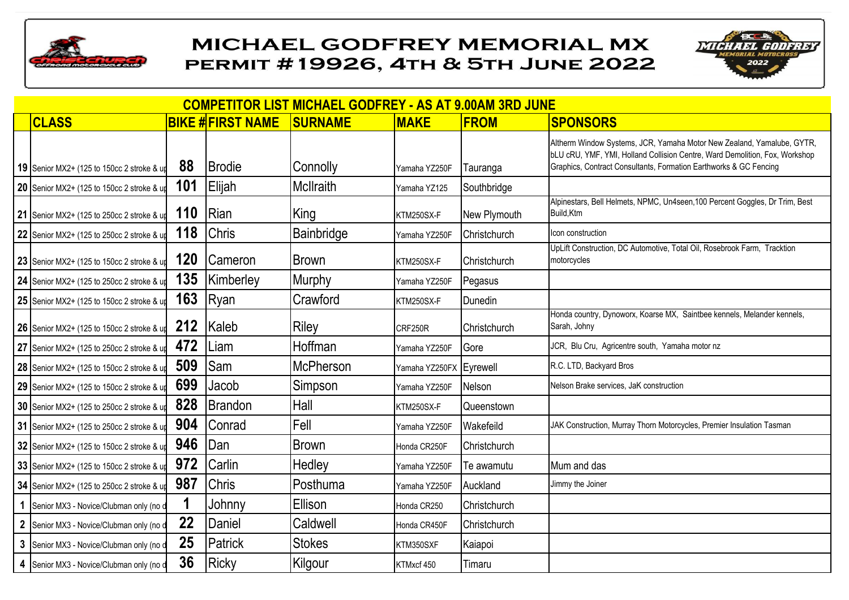



| <b>COMPETITOR LIST MICHAEL GODFREY - AS AT 9.00AM 3RD JUNE</b> |     |                         |                   |                         |                     |                                                                                                                                                                                                                            |  |  |  |  |  |
|----------------------------------------------------------------|-----|-------------------------|-------------------|-------------------------|---------------------|----------------------------------------------------------------------------------------------------------------------------------------------------------------------------------------------------------------------------|--|--|--|--|--|
| <b>CLASS</b>                                                   |     | <b>BIKE #FIRST NAME</b> | <b>SURNAME</b>    | <b>MAKE</b>             | <b>FROM</b>         | <b>SPONSORS</b>                                                                                                                                                                                                            |  |  |  |  |  |
| 19 Senior MX2+ (125 to 150cc 2 stroke & up                     | 88  | <b>I</b> Brodie         | Connolly          | Yamaha YZ250F           | Tauranga            | Altherm Window Systems, JCR, Yamaha Motor New Zealand, Yamalube, GYTR,<br>bLU cRU, YMF, YMI, Holland Collision Centre, Ward Demolition, Fox, Workshop<br>Graphics, Contract Consultants, Formation Earthworks & GC Fencing |  |  |  |  |  |
| 20 Senior MX2+ (125 to 150cc 2 stroke & up                     | 101 | Elijah                  | McIlraith         | Yamaha YZ125            | Southbridge         |                                                                                                                                                                                                                            |  |  |  |  |  |
| 21 Senior MX2+ (125 to 250cc 2 stroke & up                     | 110 | <b>Rian</b>             | King              | KTM250SX-F              | New Plymouth        | Alpinestars, Bell Helmets, NPMC, Un4seen, 100 Percent Goggles, Dr Trim, Best<br>Build, Ktm                                                                                                                                 |  |  |  |  |  |
| 22 Senior MX2+ (125 to 250cc 2 stroke & up                     | 118 | <b>Chris</b>            | <b>Bainbridge</b> | Yamaha YZ250F           | Christchurch        | lcon construction                                                                                                                                                                                                          |  |  |  |  |  |
| 23 Senior MX2+ (125 to 150cc 2 stroke & up                     | 120 | Cameron                 | Brown             | KTM250SX-F              | Christchurch        | UpLift Construction, DC Automotive, Total Oil, Rosebrook Farm, Tracktion<br>motorcycles                                                                                                                                    |  |  |  |  |  |
| 24 Senior MX2+ (125 to 250cc 2 stroke & up                     | 135 | Kimberley               | Murphy            | Yamaha YZ250F           | Pegasus             |                                                                                                                                                                                                                            |  |  |  |  |  |
| 25 Senior MX2+ (125 to 150cc 2 stroke & up                     | 163 | Ryan                    | Crawford          | KTM250SX-F              | Dunedin             |                                                                                                                                                                                                                            |  |  |  |  |  |
| 26 Senior MX2+ (125 to 150cc 2 stroke & up                     | 212 | Kaleb                   | Riley             | CRF250R                 | Christchurch        | Honda country, Dynoworx, Koarse MX, Saintbee kennels, Melander kennels,<br>Sarah, Johny                                                                                                                                    |  |  |  |  |  |
| 27 Senior MX2+ (125 to 250cc 2 stroke & up                     | 472 | Liam                    | Hoffman           | Yamaha YZ250F           | <b>Gore</b>         | JCR, Blu Cru, Agricentre south, Yamaha motor nz                                                                                                                                                                            |  |  |  |  |  |
| 28 Senior MX2+ (125 to 150cc 2 stroke & up                     | 509 | <b>Sam</b>              | McPherson         | Yamaha YZ250FX Eyrewell |                     | R.C. LTD, Backyard Bros                                                                                                                                                                                                    |  |  |  |  |  |
| 29 Senior MX2+ (125 to 150cc 2 stroke & up                     | 699 | Jacob                   | Simpson           | Yamaha YZ250F           | Nelson              | Nelson Brake services, JaK construction                                                                                                                                                                                    |  |  |  |  |  |
| 30 Senior MX2+ (125 to 250cc 2 stroke & up                     | 828 | Brandon                 | Hall              | KTM250SX-F              | Queenstown          |                                                                                                                                                                                                                            |  |  |  |  |  |
| 31 Senior MX2+ (125 to 250cc 2 stroke & up                     | 904 | Conrad                  | Fell              | Yamaha YZ250F           | Wakefeild           | JAK Construction, Murray Thorn Motorcycles, Premier Insulation Tasman                                                                                                                                                      |  |  |  |  |  |
| 32 Senior MX2+ (125 to 150cc 2 stroke & up                     | 946 | Dan                     | <b>Brown</b>      | Honda CR250F            | <b>Christchurch</b> |                                                                                                                                                                                                                            |  |  |  |  |  |
| 33 Senior MX2+ (125 to 150cc 2 stroke & up                     | 972 | Carlin                  | Hedley            | Yamaha YZ250F           | Te awamutu          | Mum and das                                                                                                                                                                                                                |  |  |  |  |  |
| 34 Senior MX2+ (125 to 250cc 2 stroke & up                     | 987 | <b>Chris</b>            | Posthuma          | Yamaha YZ250F           | Auckland            | Jimmy the Joiner                                                                                                                                                                                                           |  |  |  |  |  |
| 1 Senior MX3 - Novice/Clubman only (no d                       |     | Johnny                  | Ellison           | Honda CR250             | Christchurch        |                                                                                                                                                                                                                            |  |  |  |  |  |
| 2 Senior MX3 - Novice/Clubman only (no d                       | 22  | Daniel                  | Caldwell          | Honda CR450F            | Christchurch        |                                                                                                                                                                                                                            |  |  |  |  |  |
| 3 Senior MX3 - Novice/Clubman only (no d                       | 25  | Patrick                 | <b>Stokes</b>     | KTM350SXF               | Kaiapoi             |                                                                                                                                                                                                                            |  |  |  |  |  |
| 4 Senior MX3 - Novice/Clubman only (no d                       | 36  | Ricky                   | Kilgour           | KTMxcf 450              | Timaru              |                                                                                                                                                                                                                            |  |  |  |  |  |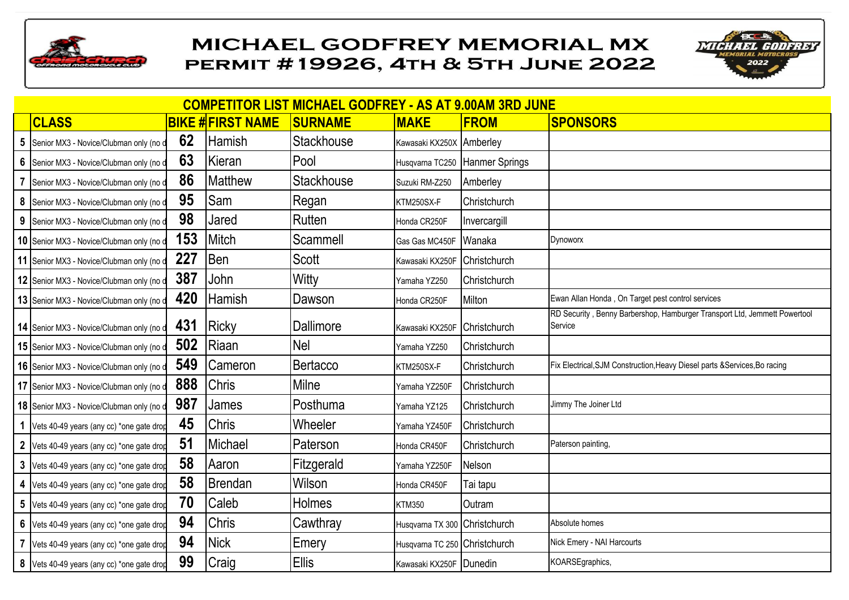



|   | <b>COMPETITOR LIST MICHAEL GODFREY - AS AT 9.00AM 3RD JUNE</b> |     |                         |                   |                               |                |                                                                                      |  |  |
|---|----------------------------------------------------------------|-----|-------------------------|-------------------|-------------------------------|----------------|--------------------------------------------------------------------------------------|--|--|
|   | <b>CLASS</b>                                                   |     | <b>BIKE #FIRST NAME</b> | <b>SURNAME</b>    | <b>MAKE</b>                   | <b>FROM</b>    | <b>SPONSORS</b>                                                                      |  |  |
| 5 | Senior MX3 - Novice/Clubman only (no d                         | 62  | <b>Hamish</b>           | Stackhouse        | Kawasaki KX250X Amberley      |                |                                                                                      |  |  |
| 6 | Senior MX3 - Novice/Clubman only (no d                         | 63  | Kieran                  | Pool              | Husqvarna TC250               | Hanmer Springs |                                                                                      |  |  |
|   | Senior MX3 - Novice/Clubman only (no d                         | 86  | <b>Matthew</b>          | <b>Stackhouse</b> | Suzuki RM-Z250                | Amberley       |                                                                                      |  |  |
| 8 | Senior MX3 - Novice/Clubman only (no d                         | 95  | Sam                     | Regan             | KTM250SX-F                    | Christchurch   |                                                                                      |  |  |
|   | 9 Senior MX3 - Novice/Clubman only (no d                       | 98  | Jared                   | Rutten            | Honda CR250F                  | Invercargill   |                                                                                      |  |  |
|   | 10 Senior MX3 - Novice/Clubman only (no d                      | 153 | Mitch                   | Scammell          | Gas Gas MC450F                | Wanaka         | Dynoworx                                                                             |  |  |
|   | 11 Senior MX3 - Novice/Clubman only (no d                      | 227 | <b>Ben</b>              | Scott             | Kawasaki KX250F               | Christchurch   |                                                                                      |  |  |
|   | 12 Senior MX3 - Novice/Clubman only (no d                      | 387 | John                    | Witty             | Yamaha YZ250                  | Christchurch   |                                                                                      |  |  |
|   | 13 Senior MX3 - Novice/Clubman only (no d                      | 420 | <b>Hamish</b>           | Dawson            | Honda CR250F                  | Milton         | Ewan Allan Honda, On Target pest control services                                    |  |  |
|   | 14 Senior MX3 - Novice/Clubman only (no d                      | 431 | <b>Ricky</b>            | Dallimore         | Kawasaki KX250F               | Christchurch   | RD Security, Benny Barbershop, Hamburger Transport Ltd, Jemmett Powertool<br>Service |  |  |
|   | 15 Senior MX3 - Novice/Clubman only (no d                      | 502 | Riaan                   | <b>Nel</b>        | Yamaha YZ250                  | Christchurch   |                                                                                      |  |  |
|   | 16 Senior MX3 - Novice/Clubman only (no d                      | 549 | <b>Cameron</b>          | Bertacco          | KTM250SX-F                    | Christchurch   | Fix Electrical, SJM Construction, Heavy Diesel parts & Services, Bo racing           |  |  |
|   | 17 Senior MX3 - Novice/Clubman only (no d                      | 888 | <b>Chris</b>            | Milne             | Yamaha YZ250F                 | Christchurch   |                                                                                      |  |  |
|   | 18 Senior MX3 - Novice/Clubman only (no d                      | 987 | James                   | Posthuma          | Yamaha YZ125                  | Christchurch   | Jimmy The Joiner Ltd                                                                 |  |  |
|   | 1 Vets 40-49 years (any cc) *one gate drop                     | 45  | <b>Chris</b>            | Wheeler           | Yamaha YZ450F                 | Christchurch   |                                                                                      |  |  |
|   | 2 Vets 40-49 years (any cc) *one gate drop                     | 51  | Michael                 | Paterson          | Honda CR450F                  | Christchurch   | Paterson painting,                                                                   |  |  |
|   | 3 Vets 40-49 years (any cc) *one gate drop                     | 58  | Aaron                   | Fitzgerald        | Yamaha YZ250F                 | Nelson         |                                                                                      |  |  |
|   | 4 Vets 40-49 years (any cc) *one gate drop                     | 58  | Brendan                 | Wilson            | Honda CR450F                  | Tai tapu       |                                                                                      |  |  |
| 5 | Vets 40-49 years (any cc) *one gate drop                       | 70  | Caleb                   | Holmes            | <b>KTM350</b>                 | Outram         |                                                                                      |  |  |
|   | 6 Vets 40-49 years (any cc) *one gate drop                     | 94  | <b>Chris</b>            | Cawthray          | Husqvarna TX 300 Christchurch |                | Absolute homes                                                                       |  |  |
|   | Vets 40-49 years (any cc) *one gate drop                       | 94  | Nick                    | Emery             | Husqvarna TC 250 Christchurch |                | Nick Emery - NAI Harcourts                                                           |  |  |
|   | 8 Vets 40-49 years (any cc) *one gate drop                     | 99  | Craig                   | <b>Ellis</b>      | Kawasaki KX250F Dunedin       |                | KOARSEgraphics,                                                                      |  |  |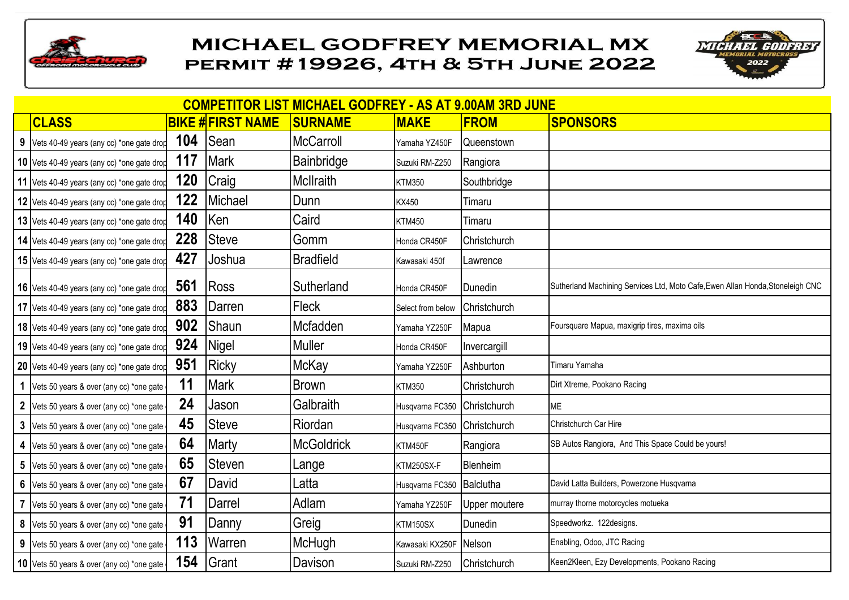



|                | <b>COMPETITOR LIST MICHAEL GODFREY - AS AT 9.00AM 3RD JUNE</b> |     |                         |                   |                           |                     |                                                                                |  |
|----------------|----------------------------------------------------------------|-----|-------------------------|-------------------|---------------------------|---------------------|--------------------------------------------------------------------------------|--|
|                | <b>CLASS</b>                                                   |     | <b>BIKE #FIRST NAME</b> | <b>SURNAME</b>    | <b>MAKE</b>               | <b>FROM</b>         | <b>SPONSORS</b>                                                                |  |
|                | 9 Vets 40-49 years (any cc) *one gate drop                     | 104 | <b>Sean</b>             | <b>McCarroll</b>  | Yamaha YZ450F             | Queenstown          |                                                                                |  |
|                | 10 Vets 40-49 years (any cc) *one gate drop                    | 117 | Mark                    | Bainbridge        | Suzuki RM-Z250            | Rangiora            |                                                                                |  |
|                | 11 Vets 40-49 years (any cc) *one gate drop                    | 120 | Craig                   | <b>McIlraith</b>  | <b>KTM350</b>             | Southbridge         |                                                                                |  |
|                | 12 Vets 40-49 years (any cc) *one gate drop                    | 122 | Michael                 | Dunn              | KX450                     | Timaru              |                                                                                |  |
|                | 13 Vets 40-49 years (any cc) *one gate drop                    | 140 | <b>Ken</b>              | Caird             | <b>KTM450</b>             | Timaru              |                                                                                |  |
|                | 14 Vets 40-49 years (any cc) *one gate drop                    | 228 | <b>Steve</b>            | Gomm              | Honda CR450F              | <b>Christchurch</b> |                                                                                |  |
|                | 15 Vets 40-49 years (any cc) *one gate drop                    | 427 | Joshua                  | <b>Bradfield</b>  | Kawasaki 450f             | Lawrence            |                                                                                |  |
|                | 16 Vets 40-49 years (any cc) *one gate drop                    | 561 | Ross                    | Sutherland        | Honda CR450F              | Dunedin             | Sutherland Machining Services Ltd, Moto Cafe, Ewen Allan Honda, Stoneleigh CNC |  |
|                | 17 Vets 40-49 years (any cc) *one gate drop                    | 883 | Darren                  | Fleck             | Select from below         | Christchurch        |                                                                                |  |
|                | 18 Vets 40-49 years (any cc) *one gate drop                    | 902 | Shaun                   | Mcfadden          | Yamaha YZ250F             | Mapua               | Foursquare Mapua, maxigrip tires, maxima oils                                  |  |
|                | 19 Vets 40-49 years (any cc) *one gate drop                    | 924 | Nigel                   | <b>Muller</b>     | Honda CR450F              | Invercargill        |                                                                                |  |
|                | 20 Vets 40-49 years (any cc) *one gate drop                    | 951 | Ricky                   | McKay             | Yamaha YZ250F             | Ashburton           | Timaru Yamaha                                                                  |  |
| 1              | Vets 50 years & over (any cc) *one gate                        | 11  | Mark                    | <b>Brown</b>      | <b>KTM350</b>             | Christchurch        | Dirt Xtreme, Pookano Racing                                                    |  |
| $\mathbf{2}$   | Vets 50 years & over (any cc) *one gate                        | 24  | Jason                   | Galbraith         | Husqvarna FC350           | Christchurch        | ME                                                                             |  |
|                | 3 Vets 50 years & over (any cc) *one gate                      | 45  | <b>Steve</b>            | Riordan           | Husqvarna FC350           | Christchurch        | Christchurch Car Hire                                                          |  |
|                | 4 Vets 50 years & over (any cc) *one gate                      | 64  | Marty                   | <b>McGoldrick</b> | KTM450F                   | Rangiora            | SB Autos Rangiora, And This Space Could be yours!                              |  |
|                | 5 Vets 50 years & over (any cc) *one gate                      | 65  | <b>Steven</b>           | Lange             | KTM250SX-F                | Blenheim            |                                                                                |  |
|                | 6 Vets 50 years & over (any cc) *one gate                      | 67  | David                   | Latta             | Husqvarna FC350 Balclutha |                     | David Latta Builders, Powerzone Husqvarna                                      |  |
| $\overline{7}$ | Vets 50 years & over (any cc) *one gate                        | 71  | Darrel                  | Adlam             | Yamaha YZ250F             | Upper moutere       | murray thorne motorcycles motueka                                              |  |
| 8              | Vets 50 years & over (any cc) *one gate                        | 91  | Danny                   | Greig             | KTM150SX                  | Dunedin             | Speedworkz. 122designs.                                                        |  |
| 9              | Vets 50 years & over (any cc) *one gate                        | 113 | <b>Warren</b>           | McHugh            | Kawasaki KX250F           | Nelson              | Enabling, Odoo, JTC Racing                                                     |  |
|                | 10 Vets 50 years & over (any cc) *one gate                     | 154 | <b>S</b> rant           | Davison           | Suzuki RM-Z250            | Christchurch        | Keen2Kleen, Ezy Developments, Pookano Racing                                   |  |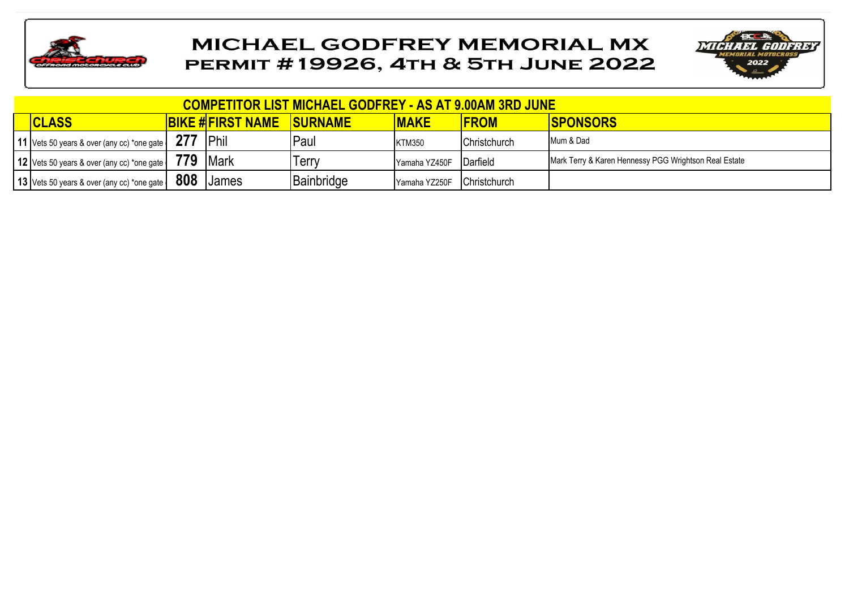



| <b>COMPETITOR LIST MICHAEL GODFREY - AS AT 9.00AM 3RD JUNE</b> |     |                         |                |               |              |                                                       |  |  |
|----------------------------------------------------------------|-----|-------------------------|----------------|---------------|--------------|-------------------------------------------------------|--|--|
| <b>CLASS</b>                                                   |     | <b>BIKE #FIRST NAME</b> | <b>SURNAME</b> | <b>MAKE</b>   | <b>FROM</b>  | <b>ISPONSORS</b>                                      |  |  |
| 11 Vets 50 years & over (any cc) *one gate                     |     | <b>IPhil</b>            | Paul           | <b>KTM350</b> | Christchurch | Mum & Dad                                             |  |  |
| 12 Vets 50 years & over (any cc) *one gate                     | 779 | <b>IMark</b>            | Terry          | Yamaha YZ450F | Darfield     | Mark Terry & Karen Hennessy PGG Wrightson Real Estate |  |  |
| 13 Vets 50 years & over (any cc) *one gate                     | 808 | <b>James</b>            | Bainbridge     | Yamaha YZ250F | Christchurch |                                                       |  |  |